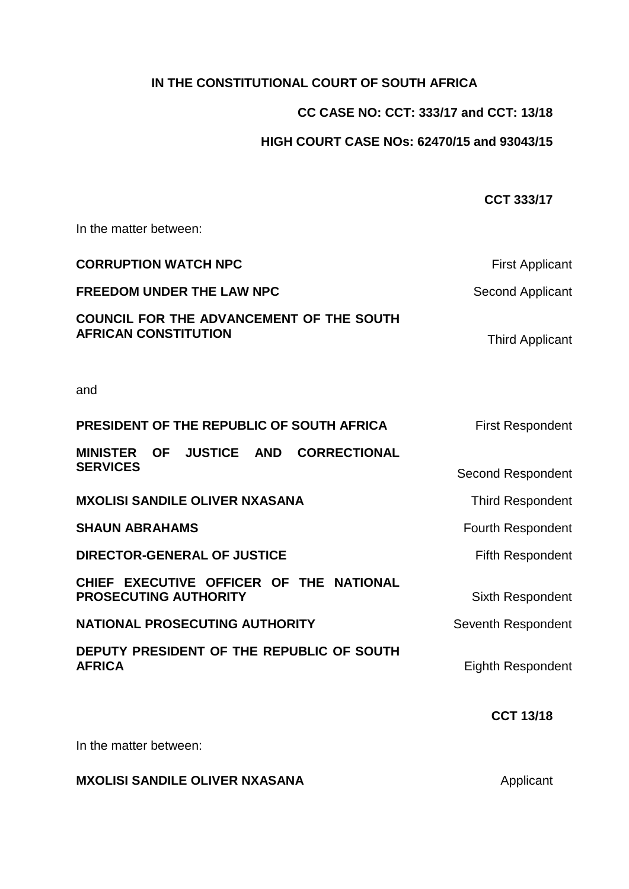# **IN THE CONSTITUTIONAL COURT OF SOUTH AFRICA**

# **CC CASE NO: CCT: 333/17 and CCT: 13/18**

**CCT 333/17**

# **HIGH COURT CASE NOs: 62470/15 and 93043/15**

# In the matter between: **CORRUPTION WATCH NPC** First Applicant **FREEDOM UNDER THE LAW NPC** Second Applicant **COUNCIL FOR THE ADVANCEMENT OF THE SOUTH AFRICAN CONSTITUTION Third Applicant** and **PRESIDENT OF THE REPUBLIC OF SOUTH AFRICA** First Respondent **MINISTER OF JUSTICE AND CORRECTIONAL SERVICES** SERVICES **MXOLISI SANDILE OLIVER NXASANA** Third Respondent **SHAUN ABRAHAMS** Fourth Respondent **DIRECTOR-GENERAL OF JUSTICE** Fifth Respondent **CHIEF EXECUTIVE OFFICER OF THE NATIONAL PROSECUTING AUTHORITY** Sixth Respondent **NATIONAL PROSECUTING AUTHORITY** Seventh Respondent **DEPUTY PRESIDENT OF THE REPUBLIC OF SOUTH Eighth Respondent CCT 13/18**

In the matter between:

# **MXOLISI SANDILE OLIVER NXASANA** Applicant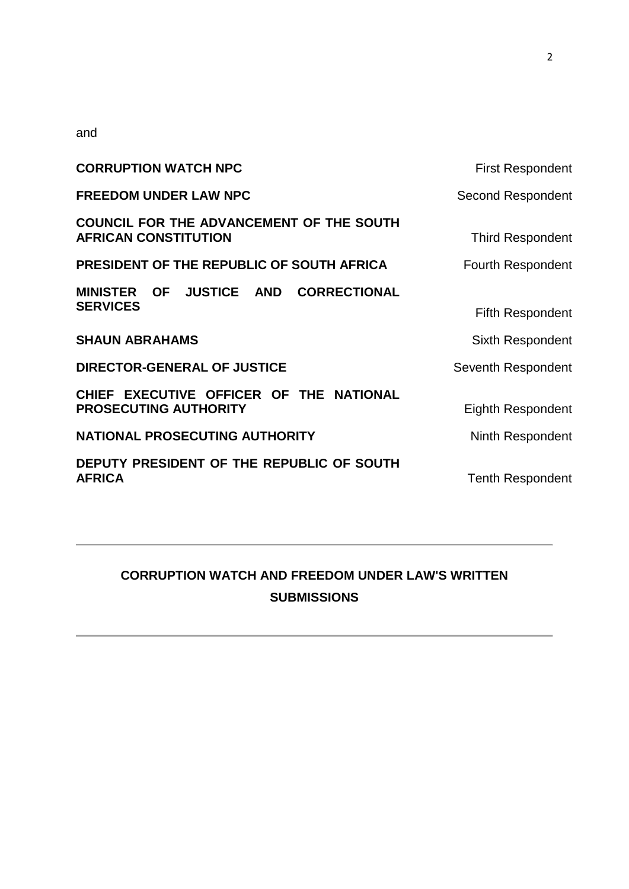and

| <b>CORRUPTION WATCH NPC</b>                                             | <b>First Respondent</b>  |
|-------------------------------------------------------------------------|--------------------------|
| <b>FREEDOM UNDER LAW NPC</b>                                            | <b>Second Respondent</b> |
| COUNCIL FOR THE ADVANCEMENT OF THE SOUTH<br><b>AFRICAN CONSTITUTION</b> | <b>Third Respondent</b>  |
| PRESIDENT OF THE REPUBLIC OF SOUTH AFRICA                               | <b>Fourth Respondent</b> |
| MINISTER OF JUSTICE AND CORRECTIONAL                                    |                          |
| <b>SERVICES</b>                                                         | <b>Fifth Respondent</b>  |
| <b>SHAUN ABRAHAMS</b>                                                   | <b>Sixth Respondent</b>  |
| <b>DIRECTOR-GENERAL OF JUSTICE</b>                                      | Seventh Respondent       |
| CHIEF EXECUTIVE OFFICER OF THE NATIONAL                                 |                          |
| PROSECUTING AUTHORITY                                                   | Eighth Respondent        |
| NATIONAL PROSECUTING AUTHORITY                                          | Ninth Respondent         |
| DEPUTY PRESIDENT OF THE REPUBLIC OF SOUTH<br><b>AFRICA</b>              | <b>Tenth Respondent</b>  |

# **CORRUPTION WATCH AND FREEDOM UNDER LAW'S WRITTEN SUBMISSIONS**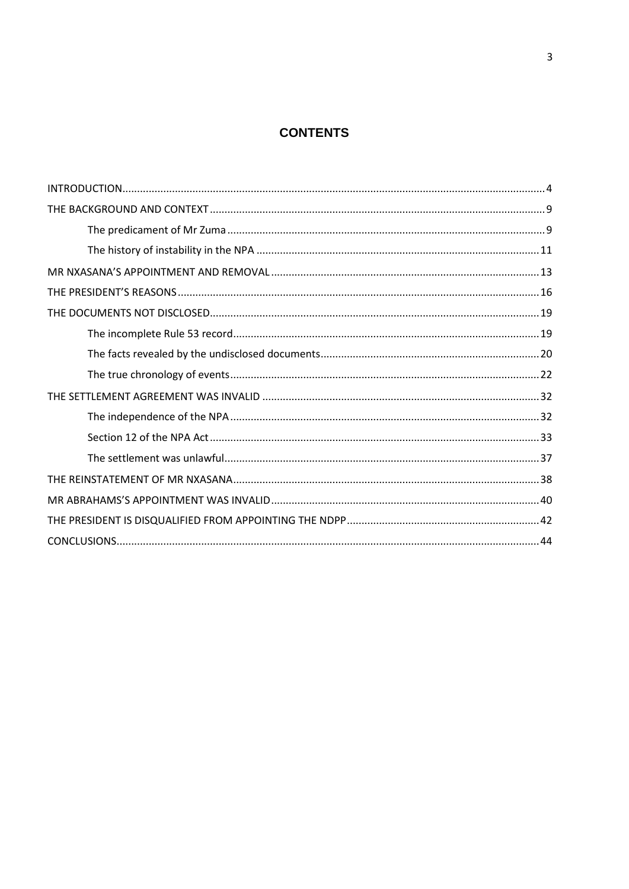# **CONTENTS**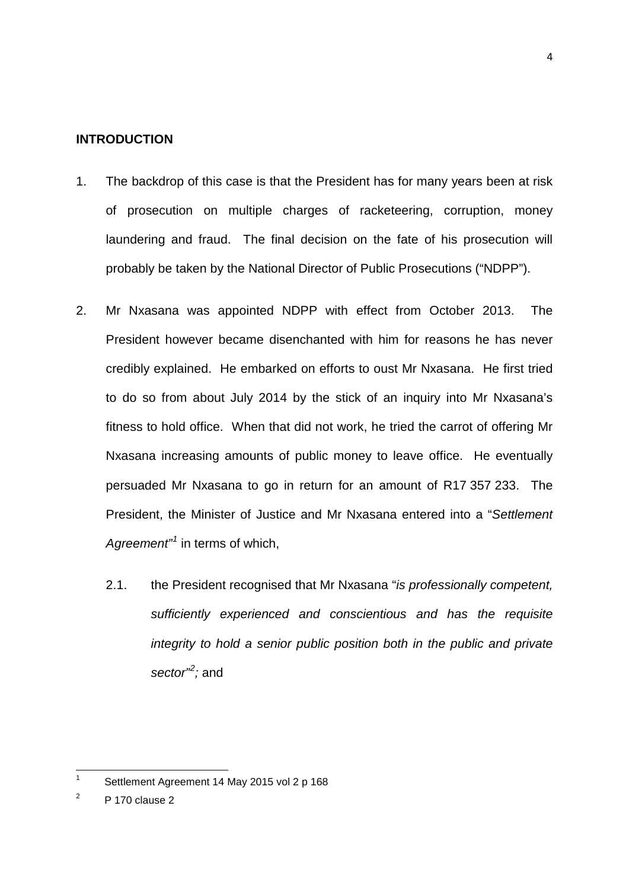#### <span id="page-3-0"></span>**INTRODUCTION**

- 1. The backdrop of this case is that the President has for many years been at risk of prosecution on multiple charges of racketeering, corruption, money laundering and fraud. The final decision on the fate of his prosecution will probably be taken by the National Director of Public Prosecutions ("NDPP").
- 2. Mr Nxasana was appointed NDPP with effect from October 2013. The President however became disenchanted with him for reasons he has never credibly explained. He embarked on efforts to oust Mr Nxasana. He first tried to do so from about July 2014 by the stick of an inquiry into Mr Nxasana's fitness to hold office. When that did not work, he tried the carrot of offering Mr Nxasana increasing amounts of public money to leave office. He eventually persuaded Mr Nxasana to go in return for an amount of R17 357 233. The President, the Minister of Justice and Mr Nxasana entered into a "*Settlement Agreement"[1](#page-3-1)* in terms of which,
	- 2.1. the President recognised that Mr Nxasana "*is professionally competent, sufficiently experienced and conscientious and has the requisite integrity to hold a senior public position both in the public and private sector"[2](#page-3-2) ;* and

<span id="page-3-1"></span>Settlement Agreement 14 May 2015 vol 2 p 168  $\mathbf{1}$ 

<span id="page-3-2"></span> $2$  P 170 clause 2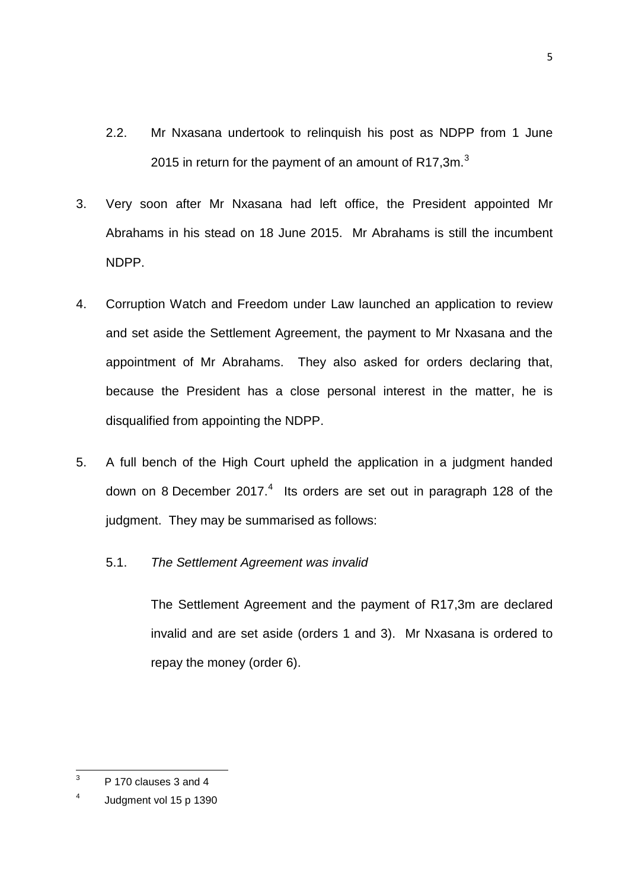- 2.2. Mr Nxasana undertook to relinquish his post as NDPP from 1 June 2015 in return for the payment of an amount of R17.[3](#page-4-0)m. $3$
- 3. Very soon after Mr Nxasana had left office, the President appointed Mr Abrahams in his stead on 18 June 2015. Mr Abrahams is still the incumbent NDPP.
- 4. Corruption Watch and Freedom under Law launched an application to review and set aside the Settlement Agreement, the payment to Mr Nxasana and the appointment of Mr Abrahams. They also asked for orders declaring that, because the President has a close personal interest in the matter, he is disqualified from appointing the NDPP.
- 5. A full bench of the High Court upheld the application in a judgment handed down on 8 December 2017. $4$  Its orders are set out in paragraph 128 of the judgment. They may be summarised as follows:
	- 5.1. *The Settlement Agreement was invalid*

The Settlement Agreement and the payment of R17,3m are declared invalid and are set aside (orders 1 and 3). Mr Nxasana is ordered to repay the money (order 6).

<span id="page-4-0"></span><sup>3</sup> P 170 clauses 3 and 4  $\mathbf{R}$ 

<span id="page-4-1"></span><sup>4</sup> Judgment vol 15 p 1390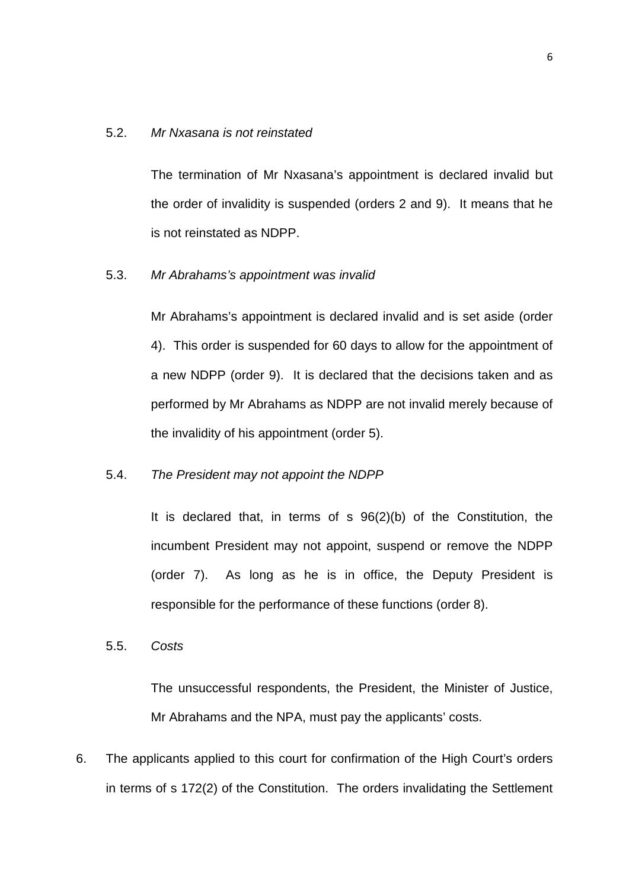#### 5.2. *Mr Nxasana is not reinstated*

The termination of Mr Nxasana's appointment is declared invalid but the order of invalidity is suspended (orders 2 and 9). It means that he is not reinstated as NDPP.

5.3. *Mr Abrahams's appointment was invalid*

Mr Abrahams's appointment is declared invalid and is set aside (order 4). This order is suspended for 60 days to allow for the appointment of a new NDPP (order 9). It is declared that the decisions taken and as performed by Mr Abrahams as NDPP are not invalid merely because of the invalidity of his appointment (order 5).

#### 5.4. *The President may not appoint the NDPP*

It is declared that, in terms of s 96(2)(b) of the Constitution, the incumbent President may not appoint, suspend or remove the NDPP (order 7). As long as he is in office, the Deputy President is responsible for the performance of these functions (order 8).

5.5. *Costs*

The unsuccessful respondents, the President, the Minister of Justice, Mr Abrahams and the NPA, must pay the applicants' costs.

6. The applicants applied to this court for confirmation of the High Court's orders in terms of s 172(2) of the Constitution. The orders invalidating the Settlement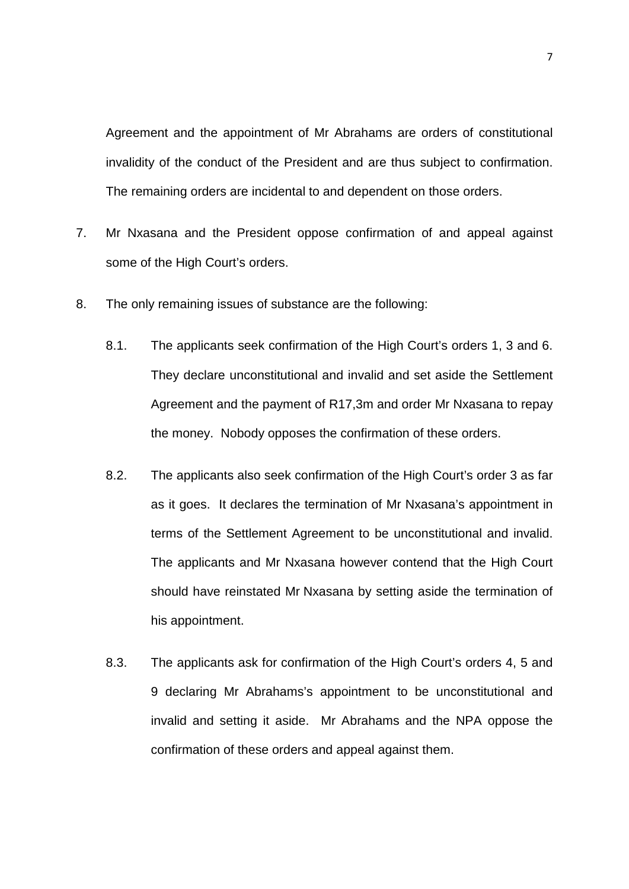Agreement and the appointment of Mr Abrahams are orders of constitutional invalidity of the conduct of the President and are thus subject to confirmation. The remaining orders are incidental to and dependent on those orders.

- 7. Mr Nxasana and the President oppose confirmation of and appeal against some of the High Court's orders.
- 8. The only remaining issues of substance are the following:
	- 8.1. The applicants seek confirmation of the High Court's orders 1, 3 and 6. They declare unconstitutional and invalid and set aside the Settlement Agreement and the payment of R17,3m and order Mr Nxasana to repay the money. Nobody opposes the confirmation of these orders.
	- 8.2. The applicants also seek confirmation of the High Court's order 3 as far as it goes. It declares the termination of Mr Nxasana's appointment in terms of the Settlement Agreement to be unconstitutional and invalid. The applicants and Mr Nxasana however contend that the High Court should have reinstated Mr Nxasana by setting aside the termination of his appointment.
	- 8.3. The applicants ask for confirmation of the High Court's orders 4, 5 and 9 declaring Mr Abrahams's appointment to be unconstitutional and invalid and setting it aside. Mr Abrahams and the NPA oppose the confirmation of these orders and appeal against them.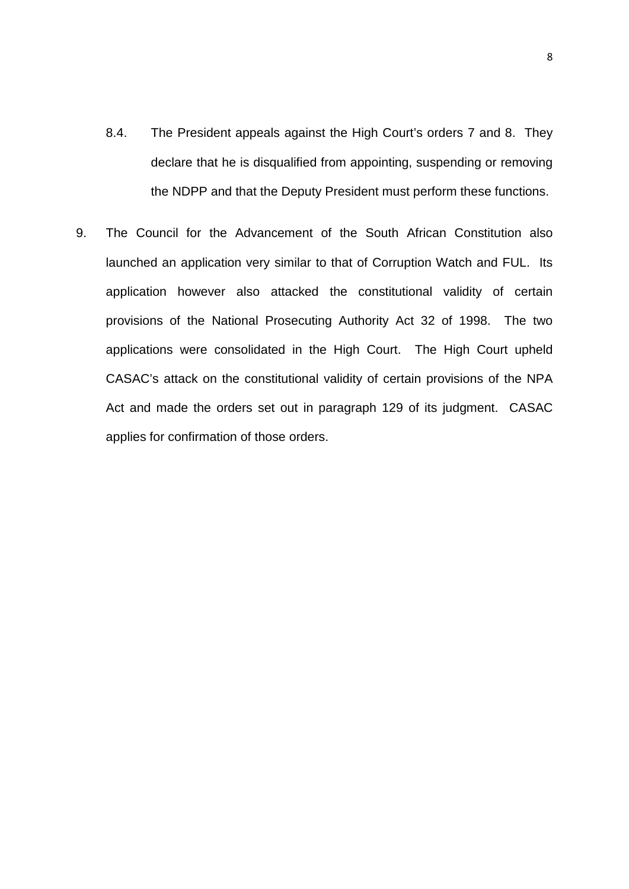- 8.4. The President appeals against the High Court's orders 7 and 8. They declare that he is disqualified from appointing, suspending or removing the NDPP and that the Deputy President must perform these functions.
- 9. The Council for the Advancement of the South African Constitution also launched an application very similar to that of Corruption Watch and FUL. Its application however also attacked the constitutional validity of certain provisions of the National Prosecuting Authority Act 32 of 1998. The two applications were consolidated in the High Court. The High Court upheld CASAC's attack on the constitutional validity of certain provisions of the NPA Act and made the orders set out in paragraph 129 of its judgment. CASAC applies for confirmation of those orders.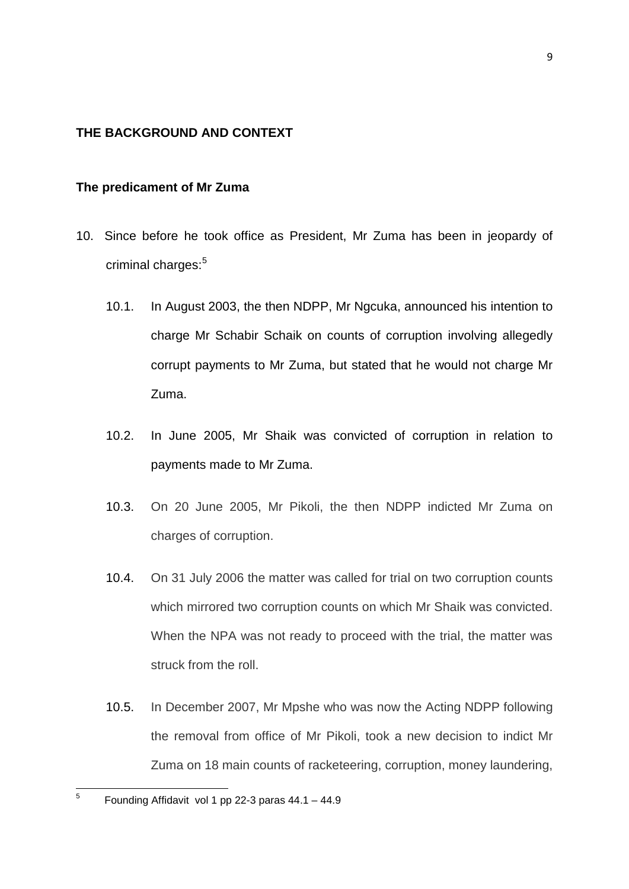# <span id="page-8-0"></span>**THE BACKGROUND AND CONTEXT**

#### <span id="page-8-1"></span>**The predicament of Mr Zuma**

- 10. Since before he took office as President, Mr Zuma has been in jeopardy of criminal charges:<sup>[5](#page-8-2)</sup>
	- 10.1. In August 2003, the then NDPP, Mr Ngcuka, announced his intention to charge Mr Schabir Schaik on counts of corruption involving allegedly corrupt payments to Mr Zuma, but stated that he would not charge Mr Zuma.
	- 10.2. In June 2005, Mr Shaik was convicted of corruption in relation to payments made to Mr Zuma.
	- 10.3. On 20 June 2005, Mr Pikoli, the then NDPP indicted Mr Zuma on charges of corruption.
	- 10.4. On 31 July 2006 the matter was called for trial on two corruption counts which mirrored two corruption counts on which Mr Shaik was convicted. When the NPA was not ready to proceed with the trial, the matter was struck from the roll.
	- 10.5. In December 2007, Mr Mpshe who was now the Acting NDPP following the removal from office of Mr Pikoli, took a new decision to indict Mr Zuma on 18 main counts of racketeering, corruption, money laundering,

<span id="page-8-2"></span>Founding Affidavit vol 1 pp 22-3 paras  $44.1 - 44.9$  $\overline{5}$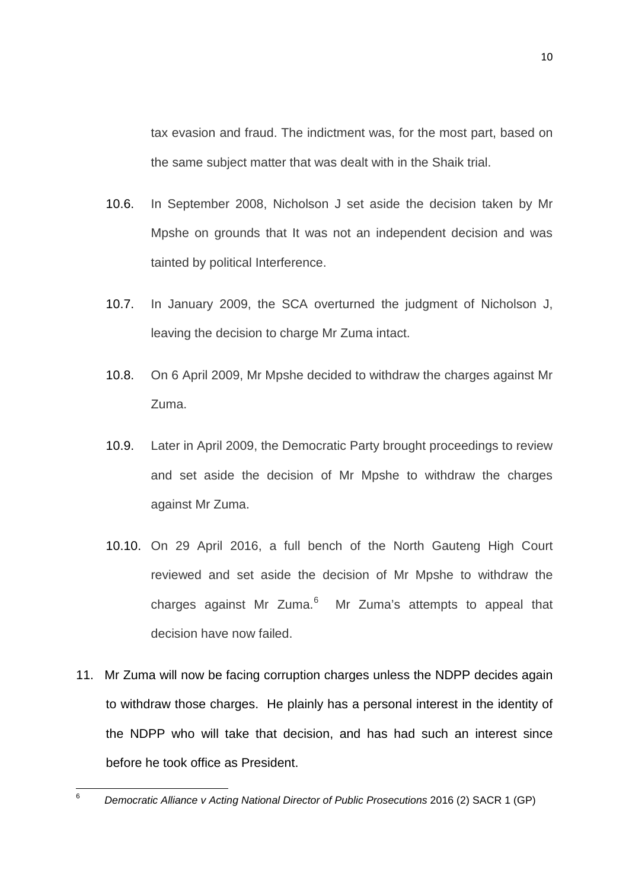tax evasion and fraud. The indictment was, for the most part, based on the same subject matter that was dealt with in the Shaik trial.

- 10.6. In September 2008, Nicholson J set aside the decision taken by Mr Mpshe on grounds that It was not an independent decision and was tainted by political Interference.
- 10.7. In January 2009, the SCA overturned the judgment of Nicholson J, leaving the decision to charge Mr Zuma intact.
- 10.8. On 6 April 2009, Mr Mpshe decided to withdraw the charges against Mr Zuma.
- 10.9. Later in April 2009, the Democratic Party brought proceedings to review and set aside the decision of Mr Mpshe to withdraw the charges against Mr Zuma.
- 10.10. On 29 April 2016, a full bench of the North Gauteng High Court reviewed and set aside the decision of Mr Mpshe to withdraw the charges against Mr Zuma.<sup>[6](#page-9-0)</sup> Mr Zuma's attempts to appeal that decision have now failed.
- 11. Mr Zuma will now be facing corruption charges unless the NDPP decides again to withdraw those charges. He plainly has a personal interest in the identity of the NDPP who will take that decision, and has had such an interest since before he took office as President.

<span id="page-9-0"></span><sup>6</sup> *Democratic Alliance v Acting National Director of Public Prosecutions* 2016 (2) SACR 1 (GP)  $6\phantom{a}$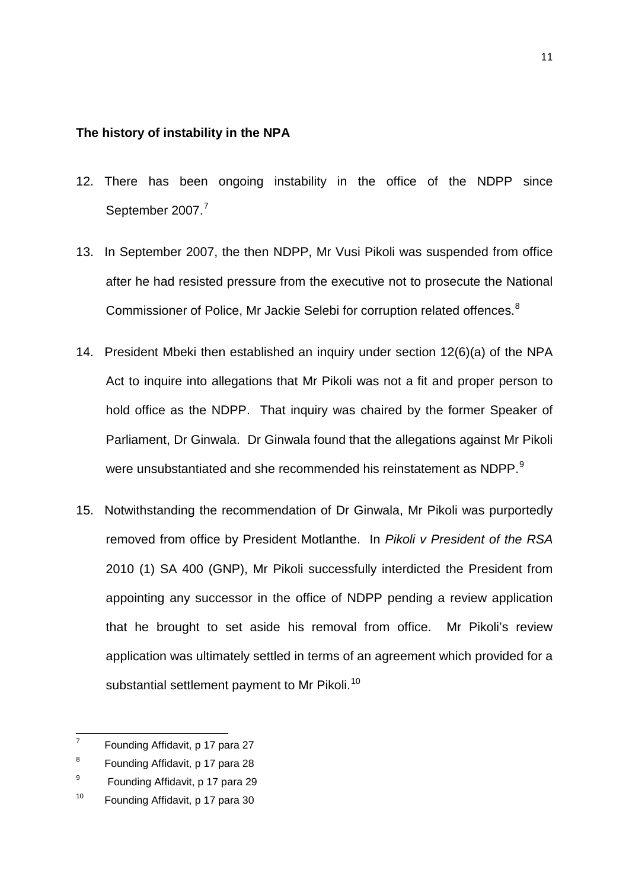#### <span id="page-10-0"></span>**The history of instability in the NPA**

- 12. There has been ongoing instability in the office of the NDPP since September 200[7](#page-10-1).<sup>7</sup>
- 13. In September 2007, the then NDPP, Mr Vusi Pikoli was suspended from office after he had resisted pressure from the executive not to prosecute the National Commissioner of Police, Mr Jackie Selebi for corruption related offences.<sup>[8](#page-10-2)</sup>
- 14. President Mbeki then established an inquiry under section 12(6)(a) of the NPA Act to inquire into allegations that Mr Pikoli was not a fit and proper person to hold office as the NDPP. That inquiry was chaired by the former Speaker of Parliament, Dr Ginwala. Dr Ginwala found that the allegations against Mr Pikoli were unsubstantiated and she recommended his reinstatement as NDPP.<sup>[9](#page-10-3)</sup>
- 15. Notwithstanding the recommendation of Dr Ginwala, Mr Pikoli was purportedly removed from office by President Motlanthe. In *Pikoli v President of the RSA* 2010 (1) SA 400 (GNP), Mr Pikoli successfully interdicted the President from appointing any successor in the office of NDPP pending a review application that he brought to set aside his removal from office. Mr Pikoli's review application was ultimately settled in terms of an agreement which provided for a substantial settlement payment to Mr Pikoli.<sup>[10](#page-10-4)</sup>

<span id="page-10-1"></span><sup>7</sup> Founding Affidavit, p 17 para 27  $\overline{7}$ 

<span id="page-10-2"></span><sup>8</sup> Founding Affidavit, p 17 para 28

<span id="page-10-3"></span><sup>&</sup>lt;sup>9</sup> Founding Affidavit, p 17 para 29

<span id="page-10-4"></span><sup>&</sup>lt;sup>10</sup> Founding Affidavit, p 17 para 30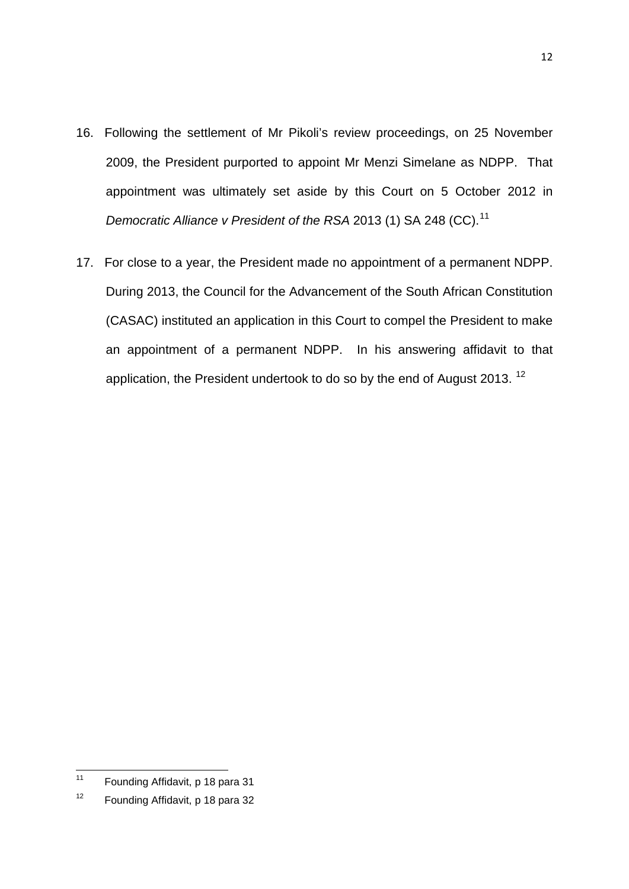- 16. Following the settlement of Mr Pikoli's review proceedings, on 25 November 2009, the President purported to appoint Mr Menzi Simelane as NDPP. That appointment was ultimately set aside by this Court on 5 October 2012 in *Democratic Alliance v President of the RSA* 2013 (1) SA 248 (CC).<sup>[11](#page-11-0)</sup>
- 17. For close to a year, the President made no appointment of a permanent NDPP. During 2013, the Council for the Advancement of the South African Constitution (CASAC) instituted an application in this Court to compel the President to make an appointment of a permanent NDPP. In his answering affidavit to that application, the President undertook to do so by the end of August 2013.<sup>[12](#page-11-1)</sup>

12

<span id="page-11-0"></span>Founding Affidavit, p 18 para 31  $11$ 

<span id="page-11-1"></span><sup>&</sup>lt;sup>12</sup> Founding Affidavit, p 18 para 32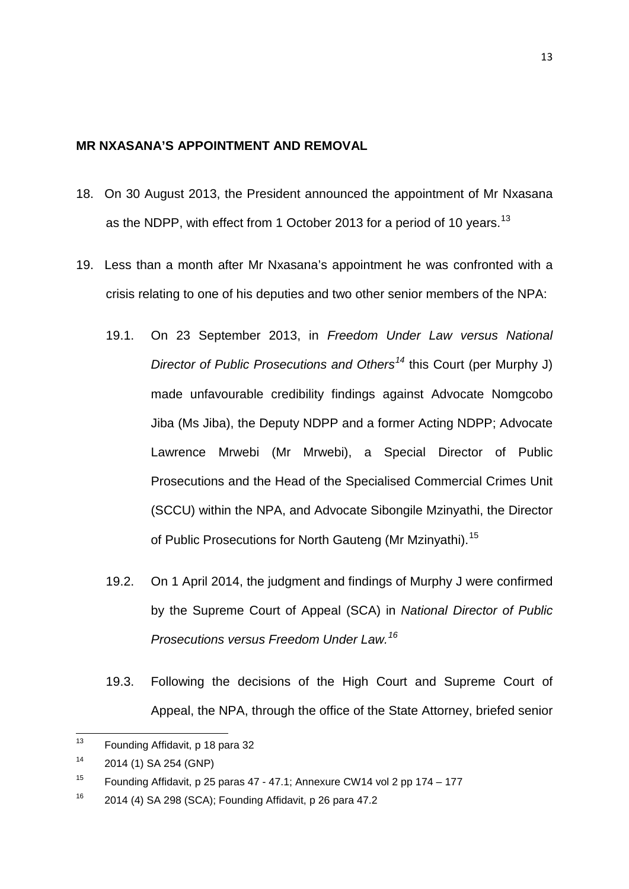#### <span id="page-12-0"></span>**MR NXASANA'S APPOINTMENT AND REMOVAL**

- 18. On 30 August 2013, the President announced the appointment of Mr Nxasana as the NDPP, with effect from 1 October 20[13](#page-12-1) for a period of 10 years.<sup>13</sup>
- 19. Less than a month after Mr Nxasana's appointment he was confronted with a crisis relating to one of his deputies and two other senior members of the NPA:
	- 19.1. On 23 September 2013, in *Freedom Under Law versus National Director of Public Prosecutions and Others*<sup>[14](#page-12-2)</sup> this Court (per Murphy J) made unfavourable credibility findings against Advocate Nomgcobo Jiba (Ms Jiba), the Deputy NDPP and a former Acting NDPP; Advocate Lawrence Mrwebi (Mr Mrwebi), a Special Director of Public Prosecutions and the Head of the Specialised Commercial Crimes Unit (SCCU) within the NPA, and Advocate Sibongile Mzinyathi, the Director of Public Prosecutions for North Gauteng (Mr Mzinyathi).<sup>[15](#page-12-3)</sup>
	- 19.2. On 1 April 2014, the judgment and findings of Murphy J were confirmed by the Supreme Court of Appeal (SCA) in *National Director of Public Prosecutions versus Freedom Under Law.[16](#page-12-4)*
	- 19.3. Following the decisions of the High Court and Supreme Court of Appeal, the NPA, through the office of the State Attorney, briefed senior

<span id="page-12-1"></span><sup>13</sup> Founding Affidavit, p 18 para 32  $13$ 

<span id="page-12-2"></span><sup>14</sup> 2014 (1) SA 254 (GNP)

<span id="page-12-3"></span><sup>&</sup>lt;sup>15</sup> Founding Affidavit, p 25 paras 47 - 47.1; Annexure CW14 vol 2 pp 174 - 177

<span id="page-12-4"></span><sup>16</sup> 2014 (4) SA 298 (SCA); Founding Affidavit, p 26 para 47.2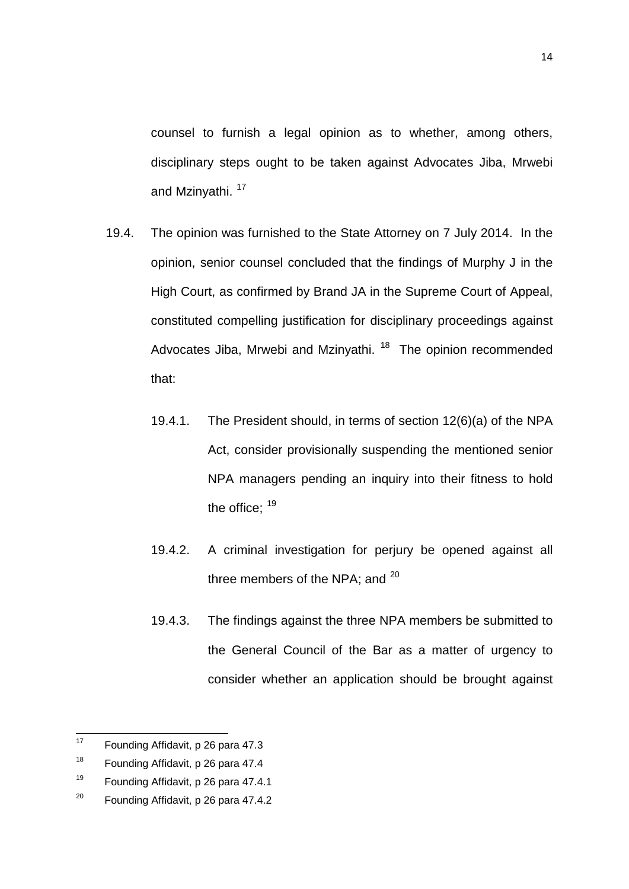counsel to furnish a legal opinion as to whether, among others, disciplinary steps ought to be taken against Advocates Jiba, Mrwebi and Mzinyathi.<sup>[17](#page-13-0)</sup>

- 19.4. The opinion was furnished to the State Attorney on 7 July 2014. In the opinion, senior counsel concluded that the findings of Murphy J in the High Court, as confirmed by Brand JA in the Supreme Court of Appeal, constituted compelling justification for disciplinary proceedings against Advocates Jiba, Mrwebi and Mzinyathi.<sup>[18](#page-13-1)</sup> The opinion recommended that:
	- 19.4.1. The President should, in terms of section 12(6)(a) of the NPA Act, consider provisionally suspending the mentioned senior NPA managers pending an inquiry into their fitness to hold the office:  $19$
	- 19.4.2. A criminal investigation for perjury be opened against all three members of the NPA; and <sup>[20](#page-13-3)</sup>
	- 19.4.3. The findings against the three NPA members be submitted to the General Council of the Bar as a matter of urgency to consider whether an application should be brought against

<span id="page-13-0"></span><sup>17</sup> Founding Affidavit, p 26 para 47.3  $17$ 

<span id="page-13-1"></span><sup>&</sup>lt;sup>18</sup> Founding Affidavit, p 26 para 47.4

<span id="page-13-2"></span><sup>19</sup> Founding Affidavit, p 26 para 47.4.1

<span id="page-13-3"></span><sup>&</sup>lt;sup>20</sup> Founding Affidavit, p 26 para 47.4.2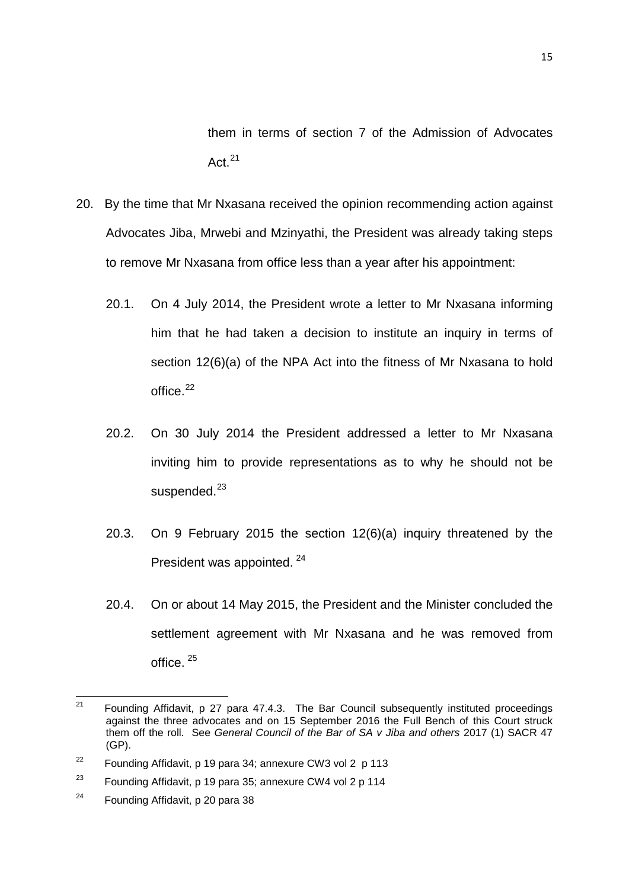them in terms of section 7 of the Admission of Advocates Act $^{21}$  $^{21}$  $^{21}$ 

- 20. By the time that Mr Nxasana received the opinion recommending action against Advocates Jiba, Mrwebi and Mzinyathi, the President was already taking steps to remove Mr Nxasana from office less than a year after his appointment:
	- 20.1. On 4 July 2014, the President wrote a letter to Mr Nxasana informing him that he had taken a decision to institute an inquiry in terms of section 12(6)(a) of the NPA Act into the fitness of Mr Nxasana to hold office.[22](#page-14-1)
	- 20.2. On 30 July 2014 the President addressed a letter to Mr Nxasana inviting him to provide representations as to why he should not be suspended. $^{23}$  $^{23}$  $^{23}$
	- 20.3. On 9 February 2015 the section 12(6)(a) inquiry threatened by the President was appointed. [24](#page-14-3)
	- 20.4. On or about 14 May 2015, the President and the Minister concluded the settlement agreement with Mr Nxasana and he was removed from office. [25](#page-14-1)

<span id="page-14-0"></span><sup>21</sup> Founding Affidavit, p 27 para 47.4.3. The Bar Council subsequently instituted proceedings against the three advocates and on 15 September 2016 the Full Bench of this Court struck them off the roll. See *General Council of the Bar of SA v Jiba and others* 2017 (1) SACR 47 (GP).  $21$ 

<span id="page-14-1"></span><sup>&</sup>lt;sup>22</sup> Founding Affidavit, p 19 para 34; annexure CW3 vol 2 p 113

<span id="page-14-2"></span><sup>&</sup>lt;sup>23</sup> Founding Affidavit, p 19 para 35; annexure CW4 vol 2 p 114

<span id="page-14-3"></span><sup>&</sup>lt;sup>24</sup> Founding Affidavit, p 20 para 38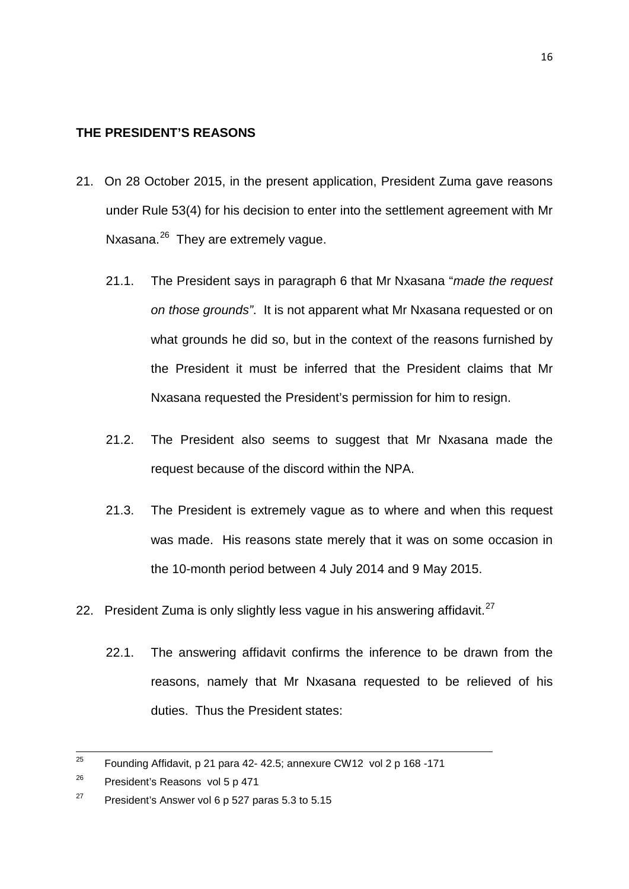# <span id="page-15-0"></span>**THE PRESIDENT'S REASONS**

- 21. On 28 October 2015, in the present application, President Zuma gave reasons under Rule 53(4) for his decision to enter into the settlement agreement with Mr Nxasana.<sup>[26](#page-15-1)</sup> They are extremely vague.
	- 21.1. The President says in paragraph 6 that Mr Nxasana "*made the request on those grounds"*. It is not apparent what Mr Nxasana requested or on what grounds he did so, but in the context of the reasons furnished by the President it must be inferred that the President claims that Mr Nxasana requested the President's permission for him to resign.
	- 21.2. The President also seems to suggest that Mr Nxasana made the request because of the discord within the NPA.
	- 21.3. The President is extremely vague as to where and when this request was made. His reasons state merely that it was on some occasion in the 10-month period between 4 July 2014 and 9 May 2015.
- 22. President Zuma is only slightly less vague in his answering affidavit. $27$ 
	- 22.1. The answering affidavit confirms the inference to be drawn from the reasons, namely that Mr Nxasana requested to be relieved of his duties. Thus the President states:

<sup>25</sup> Founding Affidavit, p 21 para 42- 42.5; annexure CW12 vol 2 p 168 -171 25

<span id="page-15-1"></span><sup>&</sup>lt;sup>26</sup> President's Reasons vol 5 p 471

<span id="page-15-2"></span><sup>&</sup>lt;sup>27</sup> President's Answer vol 6 p 527 paras 5.3 to 5.15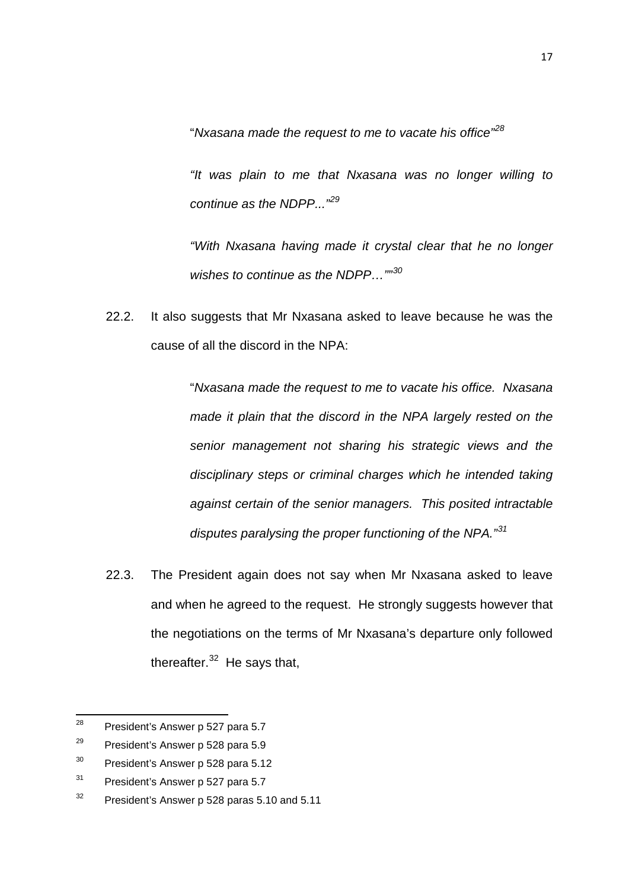"*Nxasana made the request to me to vacate his office"[28](#page-16-0)*

*"It was plain to me that Nxasana was no longer willing to continue as the NDPP..."[29](#page-16-1)*

*"With Nxasana having made it crystal clear that he no longer wishes to continue as the NDPP…""[30](#page-16-2)*

22.2. It also suggests that Mr Nxasana asked to leave because he was the cause of all the discord in the NPA:

> "*Nxasana made the request to me to vacate his office. Nxasana made it plain that the discord in the NPA largely rested on the senior management not sharing his strategic views and the disciplinary steps or criminal charges which he intended taking against certain of the senior managers. This posited intractable disputes paralysing the proper functioning of the NPA."[31](#page-16-3)*

22.3. The President again does not say when Mr Nxasana asked to leave and when he agreed to the request. He strongly suggests however that the negotiations on the terms of Mr Nxasana's departure only followed thereafter. $32$  He says that,

<span id="page-16-0"></span>President's Answer p 527 para 5.7 28

<span id="page-16-1"></span><sup>&</sup>lt;sup>29</sup> President's Answer p 528 para 5.9

<span id="page-16-2"></span><sup>&</sup>lt;sup>30</sup> President's Answer p 528 para 5.12

<span id="page-16-3"></span><sup>&</sup>lt;sup>31</sup> President's Answer p 527 para 5.7

<span id="page-16-4"></span> $32$  President's Answer p 528 paras 5.10 and 5.11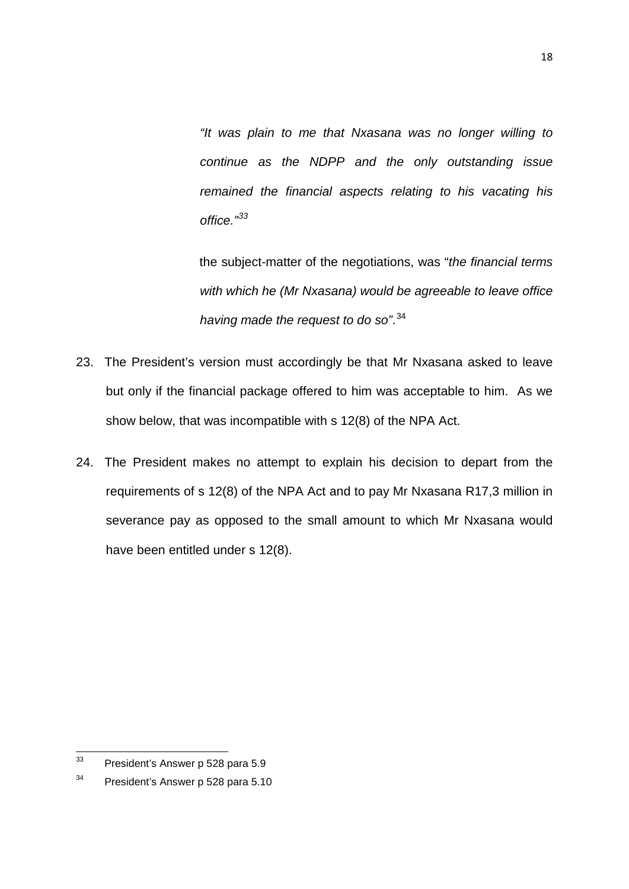*"It was plain to me that Nxasana was no longer willing to continue as the NDPP and the only outstanding issue remained the financial aspects relating to his vacating his office."[33](#page-17-0)*

the subject-matter of the negotiations, was "*the financial terms with which he (Mr Nxasana) would be agreeable to leave office having made the request to do so"*. [34](#page-17-1)

- 23. The President's version must accordingly be that Mr Nxasana asked to leave but only if the financial package offered to him was acceptable to him. As we show below, that was incompatible with s 12(8) of the NPA Act.
- 24. The President makes no attempt to explain his decision to depart from the requirements of s 12(8) of the NPA Act and to pay Mr Nxasana R17,3 million in severance pay as opposed to the small amount to which Mr Nxasana would have been entitled under s 12(8).

18

<span id="page-17-0"></span>President's Answer p 528 para 5.9  $33<sup>°</sup>$ 

<span id="page-17-1"></span><sup>&</sup>lt;sup>34</sup> President's Answer p 528 para 5.10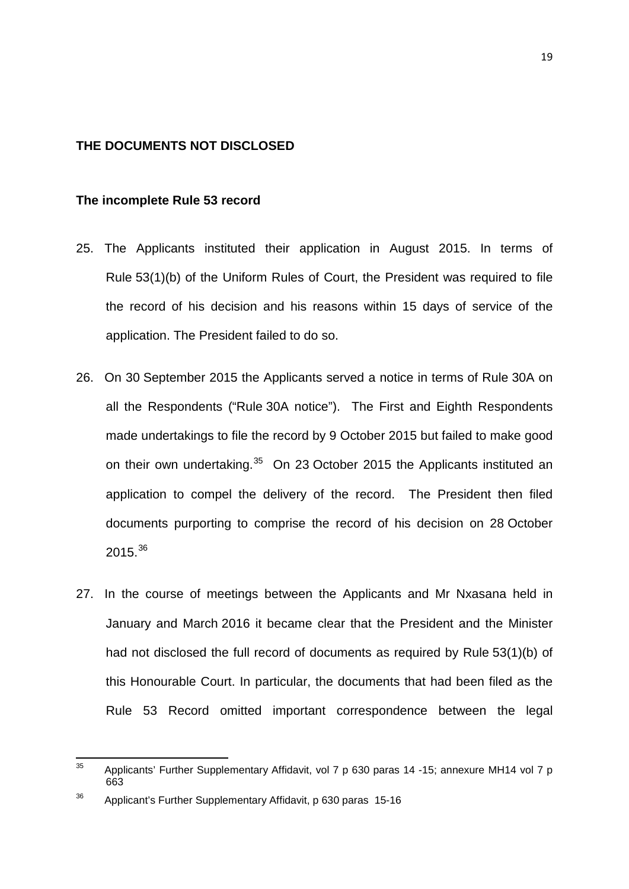#### <span id="page-18-0"></span>**THE DOCUMENTS NOT DISCLOSED**

#### <span id="page-18-1"></span>**The incomplete Rule 53 record**

- 25. The Applicants instituted their application in August 2015. In terms of Rule 53(1)(b) of the Uniform Rules of Court, the President was required to file the record of his decision and his reasons within 15 days of service of the application. The President failed to do so.
- 26. On 30 September 2015 the Applicants served a notice in terms of Rule 30A on all the Respondents ("Rule 30A notice"). The First and Eighth Respondents made undertakings to file the record by 9 October 2015 but failed to make good on their own undertaking.<sup>[35](#page-18-2)</sup> On 23 October 2015 the Applicants instituted an application to compel the delivery of the record. The President then filed documents purporting to comprise the record of his decision on 28 October 2015.[36](#page-18-3)
- 27. In the course of meetings between the Applicants and Mr Nxasana held in January and March 2016 it became clear that the President and the Minister had not disclosed the full record of documents as required by Rule 53(1)(b) of this Honourable Court. In particular, the documents that had been filed as the Rule 53 Record omitted important correspondence between the legal

<span id="page-18-2"></span>Applicants' Further Supplementary Affidavit, vol 7 p 630 paras 14 -15; annexure MH14 vol 7 p 663  $35$ 

<span id="page-18-3"></span><sup>36</sup> Applicant's Further Supplementary Affidavit, p 630 paras 15-16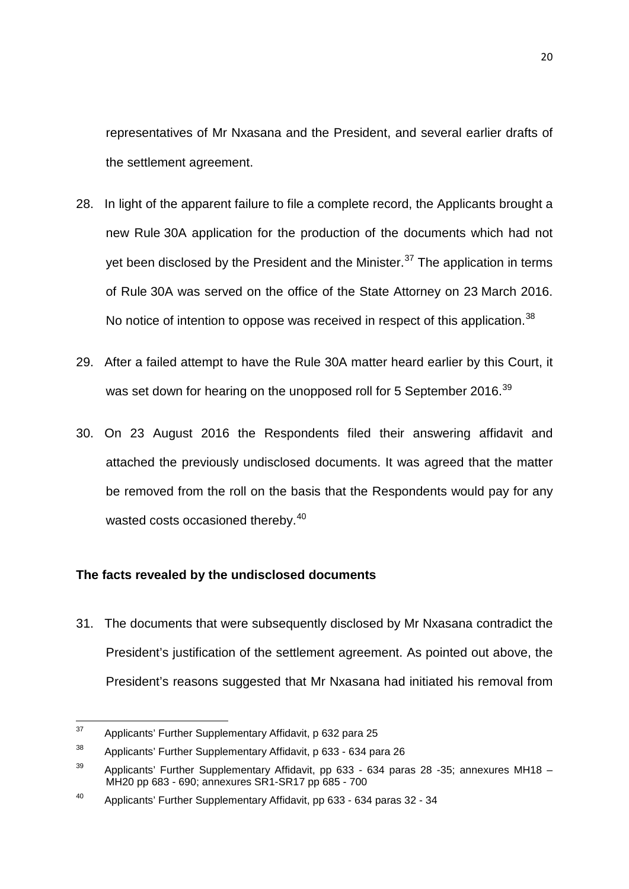representatives of Mr Nxasana and the President, and several earlier drafts of the settlement agreement.

- 28. In light of the apparent failure to file a complete record, the Applicants brought a new Rule 30A application for the production of the documents which had not yet been disclosed by the President and the Minister. $37$  The application in terms of Rule 30A was served on the office of the State Attorney on 23 March 2016. No notice of intention to oppose was received in respect of this application.<sup>[38](#page-19-2)</sup>
- 29. After a failed attempt to have the Rule 30A matter heard earlier by this Court, it was set down for hearing on the unopposed roll for 5 September 2016.<sup>[39](#page-19-3)</sup>
- 30. On 23 August 2016 the Respondents filed their answering affidavit and attached the previously undisclosed documents. It was agreed that the matter be removed from the roll on the basis that the Respondents would pay for any wasted costs occasioned thereby.<sup>[40](#page-19-4)</sup>

# <span id="page-19-0"></span>**The facts revealed by the undisclosed documents**

31. The documents that were subsequently disclosed by Mr Nxasana contradict the President's justification of the settlement agreement. As pointed out above, the President's reasons suggested that Mr Nxasana had initiated his removal from

<span id="page-19-1"></span>Applicants' Further Supplementary Affidavit, p 632 para 25 37

<span id="page-19-2"></span><sup>38</sup> Applicants' Further Supplementary Affidavit, p 633 - 634 para 26

<span id="page-19-3"></span> $39$  Applicants' Further Supplementary Affidavit, pp 633 - 634 paras 28 -35; annexures MH18 – MH20 pp 683 - 690; annexures SR1-SR17 pp 685 - 700

<span id="page-19-4"></span><sup>40</sup> Applicants' Further Supplementary Affidavit, pp 633 - 634 paras 32 - 34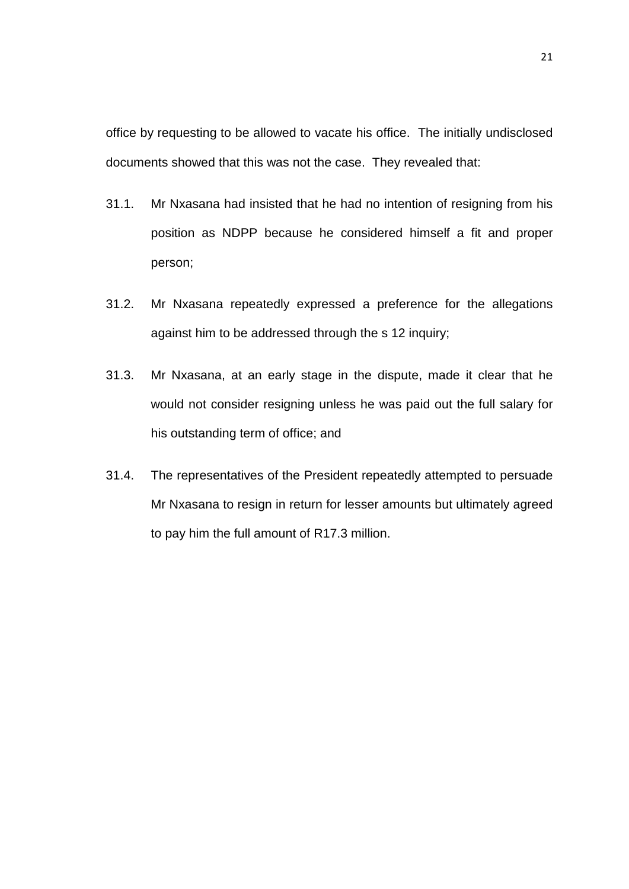office by requesting to be allowed to vacate his office. The initially undisclosed documents showed that this was not the case. They revealed that:

- 31.1. Mr Nxasana had insisted that he had no intention of resigning from his position as NDPP because he considered himself a fit and proper person;
- 31.2. Mr Nxasana repeatedly expressed a preference for the allegations against him to be addressed through the s 12 inquiry;
- 31.3. Mr Nxasana, at an early stage in the dispute, made it clear that he would not consider resigning unless he was paid out the full salary for his outstanding term of office; and
- 31.4. The representatives of the President repeatedly attempted to persuade Mr Nxasana to resign in return for lesser amounts but ultimately agreed to pay him the full amount of R17.3 million.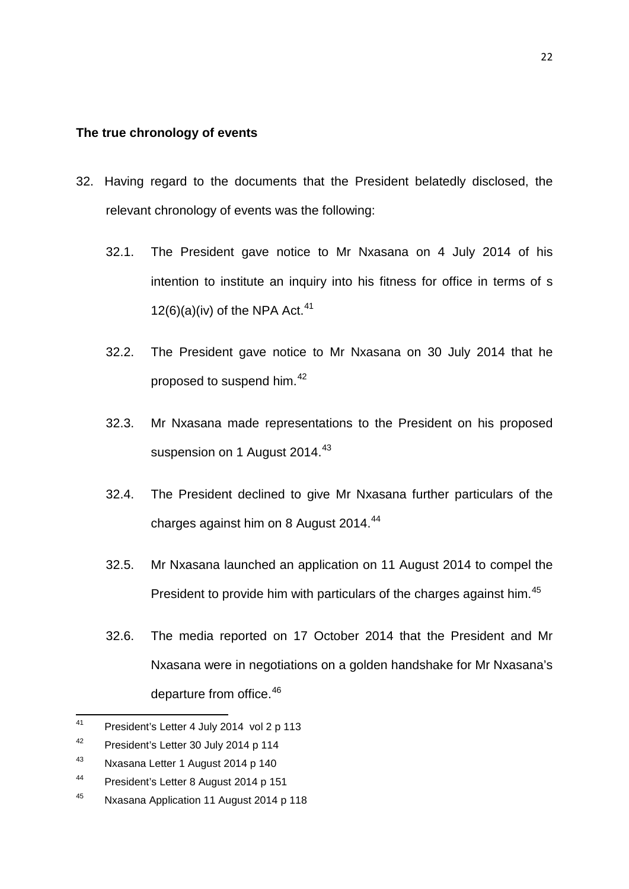#### <span id="page-21-0"></span>**The true chronology of events**

- 32. Having regard to the documents that the President belatedly disclosed, the relevant chronology of events was the following:
	- 32.1. The President gave notice to Mr Nxasana on 4 July 2014 of his intention to institute an inquiry into his fitness for office in terms of s  $12(6)(a)(iv)$  of the NPA Act.<sup>[41](#page-21-1)</sup>
	- 32.2. The President gave notice to Mr Nxasana on 30 July 2014 that he proposed to suspend him.<sup>[42](#page-21-2)</sup>
	- 32.3. Mr Nxasana made representations to the President on his proposed suspension on 1 August 2014.<sup>[43](#page-21-3)</sup>
	- 32.4. The President declined to give Mr Nxasana further particulars of the charges against him on 8 August 2014.<sup>[44](#page-21-4)</sup>
	- 32.5. Mr Nxasana launched an application on 11 August 2014 to compel the President to provide him with particulars of the charges against him.<sup>[45](#page-21-5)</sup>
	- 32.6. The media reported on 17 October 2014 that the President and Mr Nxasana were in negotiations on a golden handshake for Mr Nxasana's departure from office.<sup>[46](#page-21-2)</sup>

<span id="page-21-1"></span>President's Letter 4 July 2014 vol 2 p 113  $41$ 

<span id="page-21-2"></span><sup>42</sup> President's Letter 30 July 2014 p 114

<span id="page-21-3"></span><sup>43</sup> Nxasana Letter 1 August 2014 p 140

<span id="page-21-4"></span><sup>44</sup> President's Letter 8 August 2014 p 151

<span id="page-21-5"></span><sup>45</sup> Nxasana Application 11 August 2014 p 118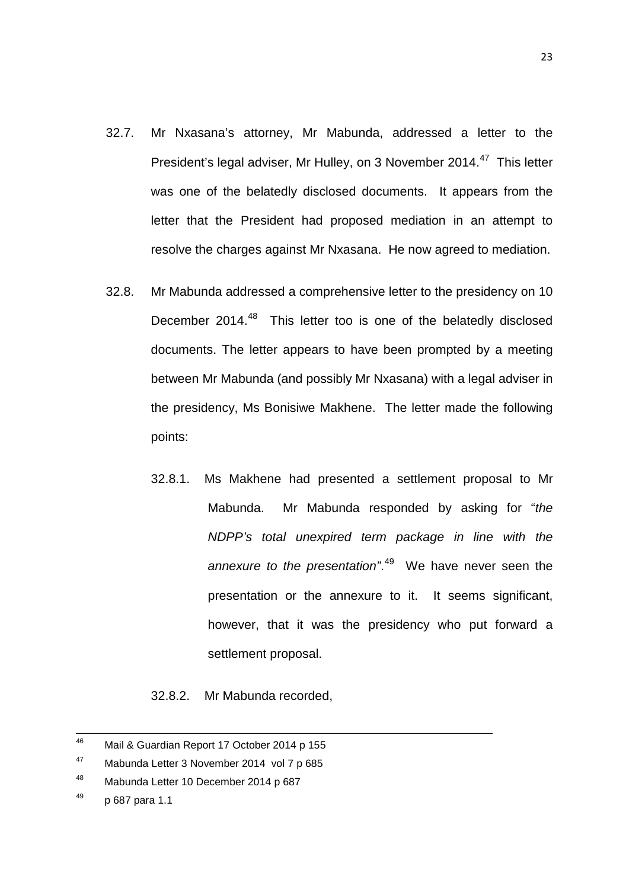- 32.7. Mr Nxasana's attorney, Mr Mabunda, addressed a letter to the President's legal adviser, Mr Hulley, on 3 November 2014.<sup>[47](#page-22-0)</sup> This letter was one of the belatedly disclosed documents. It appears from the letter that the President had proposed mediation in an attempt to resolve the charges against Mr Nxasana. He now agreed to mediation.
- 32.8. Mr Mabunda addressed a comprehensive letter to the presidency on 10 December 2014.<sup>48</sup> This letter too is one of the belatedly disclosed documents. The letter appears to have been prompted by a meeting between Mr Mabunda (and possibly Mr Nxasana) with a legal adviser in the presidency, Ms Bonisiwe Makhene. The letter made the following points:
	- 32.8.1. Ms Makhene had presented a settlement proposal to Mr Mabunda. Mr Mabunda responded by asking for "*the NDPP's total unexpired term package in line with the annexure to the presentation"*. [49](#page-22-2) We have never seen the presentation or the annexure to it. It seems significant, however, that it was the presidency who put forward a settlement proposal.

32.8.2. Mr Mabunda recorded,

Mail & Guardian Report 17 October 2014 p 155 46

<span id="page-22-0"></span><sup>47</sup> Mabunda Letter 3 November 2014 vol 7 p 685

<span id="page-22-1"></span><sup>48</sup> Mabunda Letter 10 December 2014 p 687

<span id="page-22-2"></span> $49$  p 687 para 1.1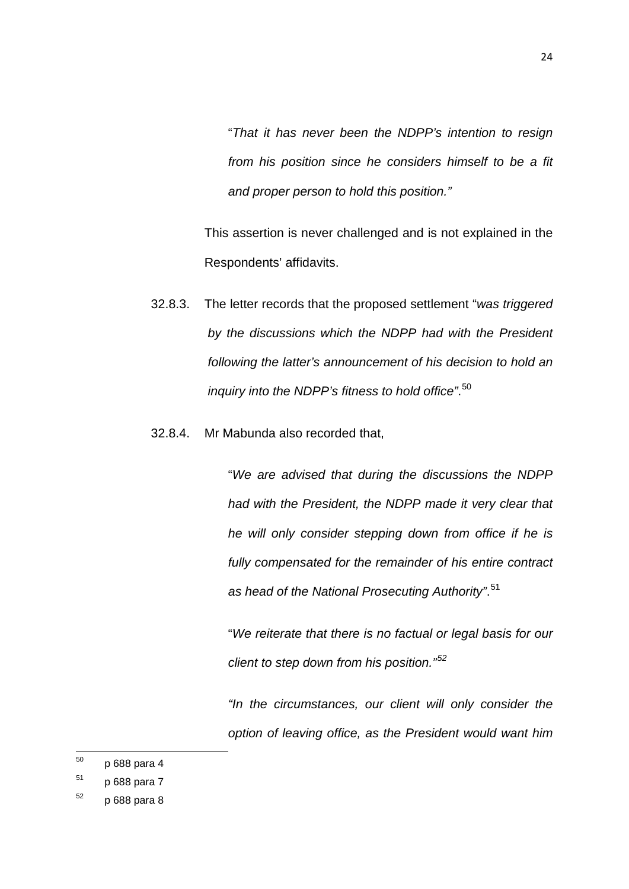"*That it has never been the NDPP's intention to resign from his position since he considers himself to be a fit and proper person to hold this position."*

This assertion is never challenged and is not explained in the Respondents' affidavits.

- 32.8.3. The letter records that the proposed settlement "*was triggered by the discussions which the NDPP had with the President following the latter's announcement of his decision to hold an inquiry into the NDPP's fitness to hold office"*. [50](#page-23-0)
- 32.8.4. Mr Mabunda also recorded that,

"*We are advised that during the discussions the NDPP had with the President, the NDPP made it very clear that he will only consider stepping down from office if he is fully compensated for the remainder of his entire contract as head of the National Prosecuting Authority"*. [51](#page-23-1)

"*We reiterate that there is no factual or legal basis for our client to step down from his position."[52](#page-23-2)*

*"In the circumstances, our client will only consider the option of leaving office, as the President would want him* 

<span id="page-23-0"></span><sup>50</sup> p 688 para 4 50

<span id="page-23-1"></span> $51$  p 688 para 7

<span id="page-23-2"></span> $52$  p 688 para 8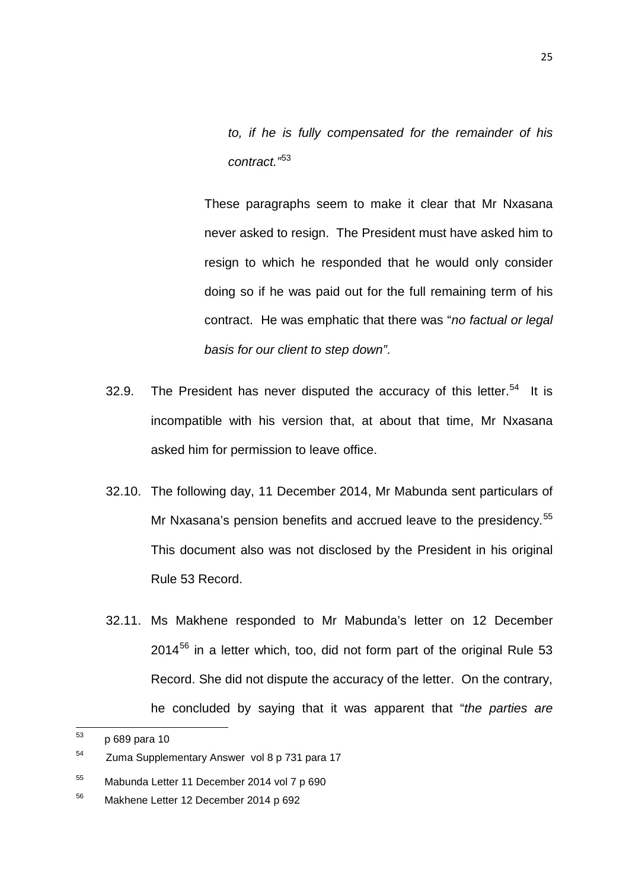*to, if he is fully compensated for the remainder of his contract."*[53](#page-24-0)

These paragraphs seem to make it clear that Mr Nxasana never asked to resign. The President must have asked him to resign to which he responded that he would only consider doing so if he was paid out for the full remaining term of his contract. He was emphatic that there was "*no factual or legal basis for our client to step down"*.

- 32.9. The President has never disputed the accuracy of this letter.<sup>[54](#page-24-1)</sup> It is incompatible with his version that, at about that time, Mr Nxasana asked him for permission to leave office.
- 32.10. The following day, 11 December 2014, Mr Mabunda sent particulars of Mr Nxasana's pension benefits and accrued leave to the presidency.<sup>[55](#page-24-2)</sup> This document also was not disclosed by the President in his original Rule 53 Record.
- 32.11. Ms Makhene responded to Mr Mabunda's letter on 12 December  $2014<sup>56</sup>$  $2014<sup>56</sup>$  $2014<sup>56</sup>$  in a letter which, too, did not form part of the original Rule 53 Record. She did not dispute the accuracy of the letter. On the contrary, he concluded by saying that it was apparent that "*the parties are*

<span id="page-24-0"></span><sup>53</sup> p 689 para 10 53

<span id="page-24-1"></span><sup>54</sup> Zuma Supplementary Answer vol 8 p 731 para 17

<span id="page-24-2"></span><sup>55</sup> Mabunda Letter 11 December 2014 vol 7 p 690

<span id="page-24-3"></span><sup>56</sup> Makhene Letter 12 December 2014 p 692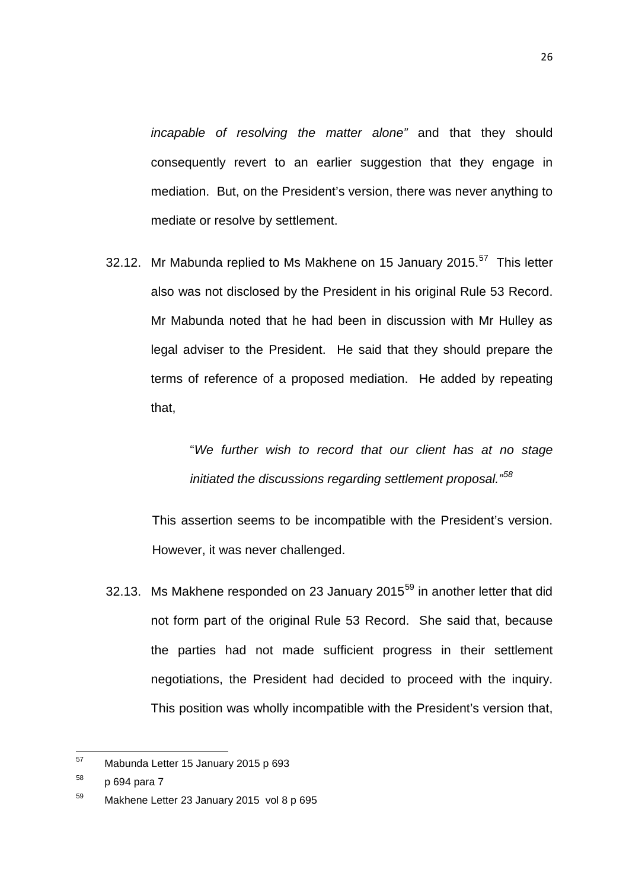*incapable of resolving the matter alone"* and that they should consequently revert to an earlier suggestion that they engage in mediation. But, on the President's version, there was never anything to mediate or resolve by settlement.

32.12. Mr Mabunda replied to Ms Makhene on 15 January 2015.<sup>[57](#page-25-0)</sup> This letter also was not disclosed by the President in his original Rule 53 Record. Mr Mabunda noted that he had been in discussion with Mr Hulley as legal adviser to the President. He said that they should prepare the terms of reference of a proposed mediation. He added by repeating that,

> "*We further wish to record that our client has at no stage initiated the discussions regarding settlement proposal."[58](#page-25-1)*

This assertion seems to be incompatible with the President's version. However, it was never challenged.

32.13. Ms Makhene responded on 23 January 2015 $^{59}$  $^{59}$  $^{59}$  in another letter that did not form part of the original Rule 53 Record. She said that, because the parties had not made sufficient progress in their settlement negotiations, the President had decided to proceed with the inquiry. This position was wholly incompatible with the President's version that,

<span id="page-25-0"></span>Mabunda Letter 15 January 2015 p 693 57

<span id="page-25-1"></span> $58$  p 694 para 7

<span id="page-25-2"></span><sup>59</sup> Makhene Letter 23 January 2015 vol 8 p 695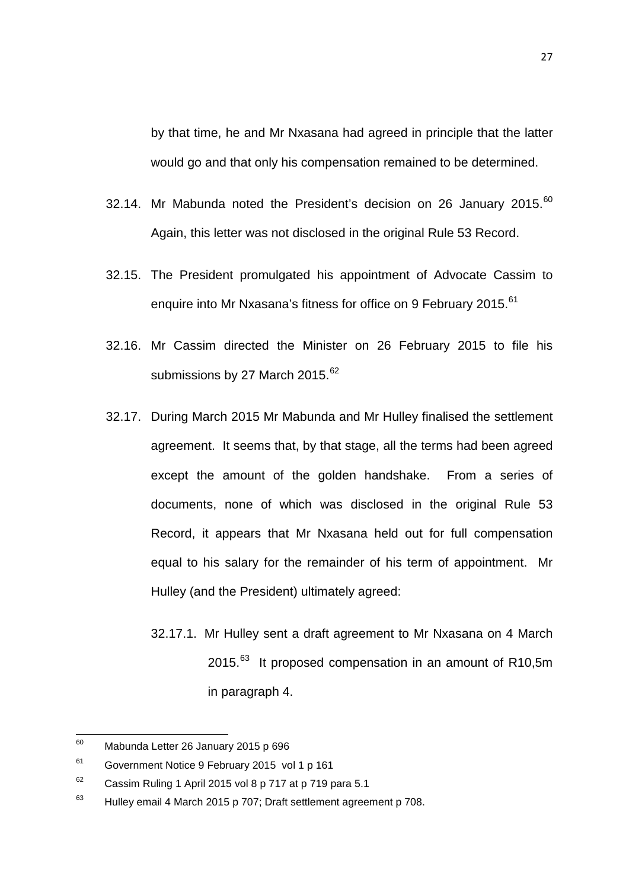by that time, he and Mr Nxasana had agreed in principle that the latter would go and that only his compensation remained to be determined.

- 32.14. Mr Mabunda noted the President's decision on 26 January 2015.<sup>[60](#page-26-0)</sup> Again, this letter was not disclosed in the original Rule 53 Record.
- 32.15. The President promulgated his appointment of Advocate Cassim to enquire into Mr Nxasana's fitness for office on 9 February 2015.<sup>[61](#page-26-1)</sup>
- 32.16. Mr Cassim directed the Minister on 26 February 2015 to file his submissions by 27 March 2015.<sup>[62](#page-26-2)</sup>
- 32.17. During March 2015 Mr Mabunda and Mr Hulley finalised the settlement agreement. It seems that, by that stage, all the terms had been agreed except the amount of the golden handshake. From a series of documents, none of which was disclosed in the original Rule 53 Record, it appears that Mr Nxasana held out for full compensation equal to his salary for the remainder of his term of appointment. Mr Hulley (and the President) ultimately agreed:
	- 32.17.1. Mr Hulley sent a draft agreement to Mr Nxasana on 4 March 2015.<sup>[63](#page-26-3)</sup> It proposed compensation in an amount of R10,5m in paragraph 4.

<span id="page-26-0"></span><sup>60</sup> Mabunda Letter 26 January 2015 p 696 60

<span id="page-26-1"></span><sup>61</sup> Government Notice 9 February 2015 vol 1 p 161

<span id="page-26-2"></span> $62$  Cassim Ruling 1 April 2015 vol 8 p 717 at p 719 para 5.1

<span id="page-26-3"></span> $63$  Hulley email 4 March 2015 p 707; Draft settlement agreement p 708.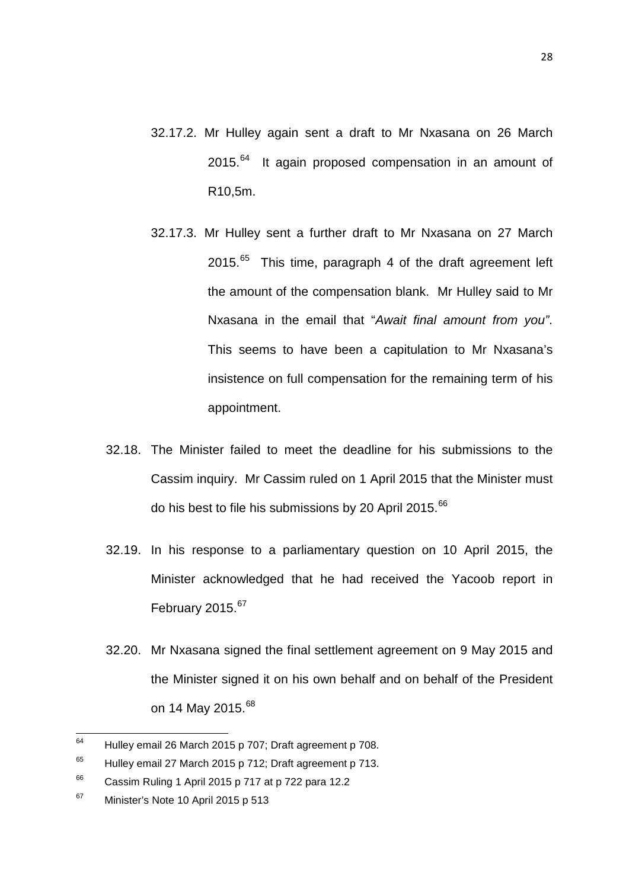- 32.17.2. Mr Hulley again sent a draft to Mr Nxasana on 26 March 2015.<sup>[64](#page-27-0)</sup> It again proposed compensation in an amount of R10,5m.
- 32.17.3. Mr Hulley sent a further draft to Mr Nxasana on 27 March 2015. $65$  This time, paragraph 4 of the draft agreement left the amount of the compensation blank. Mr Hulley said to Mr Nxasana in the email that "*Await final amount from you"*. This seems to have been a capitulation to Mr Nxasana's insistence on full compensation for the remaining term of his appointment.
- 32.18. The Minister failed to meet the deadline for his submissions to the Cassim inquiry. Mr Cassim ruled on 1 April 2015 that the Minister must do his best to file his submissions by 20 April 2015.<sup>[66](#page-27-2)</sup>
- 32.19. In his response to a parliamentary question on 10 April 2015, the Minister acknowledged that he had received the Yacoob report in February 2015.<sup>67</sup>
- 32.20. Mr Nxasana signed the final settlement agreement on 9 May 2015 and the Minister signed it on his own behalf and on behalf of the President on 14 May 2015.<sup>[68](#page-27-2)</sup>

<span id="page-27-0"></span>Hulley email 26 March 2015 p 707; Draft agreement p 708. 64

<span id="page-27-1"></span> $65$  Hulley email 27 March 2015 p 712; Draft agreement p 713.

<span id="page-27-2"></span> $66$  Cassim Ruling 1 April 2015 p 717 at p 722 para 12.2

<span id="page-27-3"></span><sup>&</sup>lt;sup>67</sup> Minister's Note 10 April 2015 p 513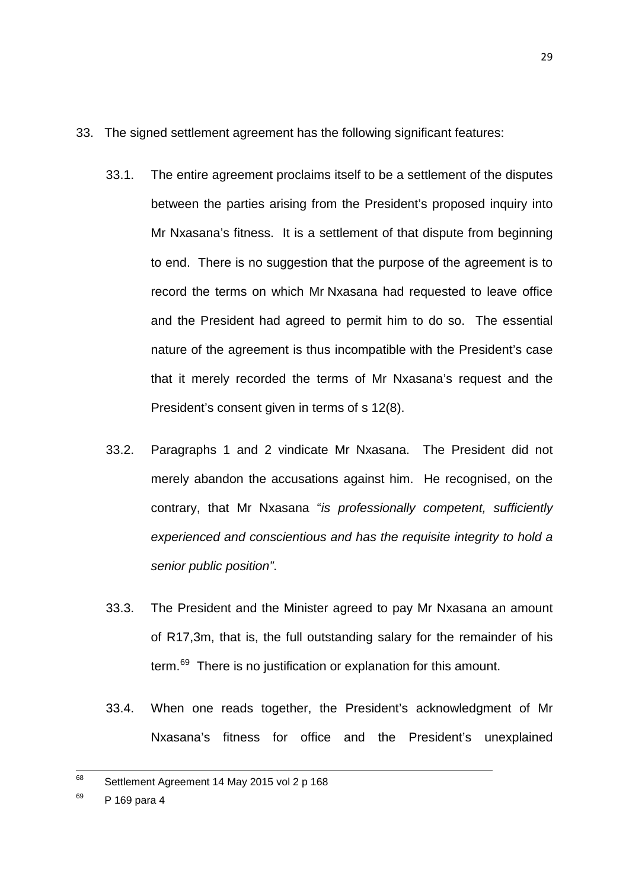- 33. The signed settlement agreement has the following significant features:
	- 33.1. The entire agreement proclaims itself to be a settlement of the disputes between the parties arising from the President's proposed inquiry into Mr Nxasana's fitness. It is a settlement of that dispute from beginning to end. There is no suggestion that the purpose of the agreement is to record the terms on which Mr Nxasana had requested to leave office and the President had agreed to permit him to do so. The essential nature of the agreement is thus incompatible with the President's case that it merely recorded the terms of Mr Nxasana's request and the President's consent given in terms of s 12(8).
	- 33.2. Paragraphs 1 and 2 vindicate Mr Nxasana. The President did not merely abandon the accusations against him. He recognised, on the contrary, that Mr Nxasana "*is professionally competent, sufficiently experienced and conscientious and has the requisite integrity to hold a senior public position"*.
	- 33.3. The President and the Minister agreed to pay Mr Nxasana an amount of R17,3m, that is, the full outstanding salary for the remainder of his term.<sup>69</sup> There is no justification or explanation for this amount.
	- 33.4. When one reads together, the President's acknowledgment of Mr Nxasana's fitness for office and the President's unexplained

<span id="page-28-0"></span>Settlement Agreement 14 May 2015 vol 2 p 168 68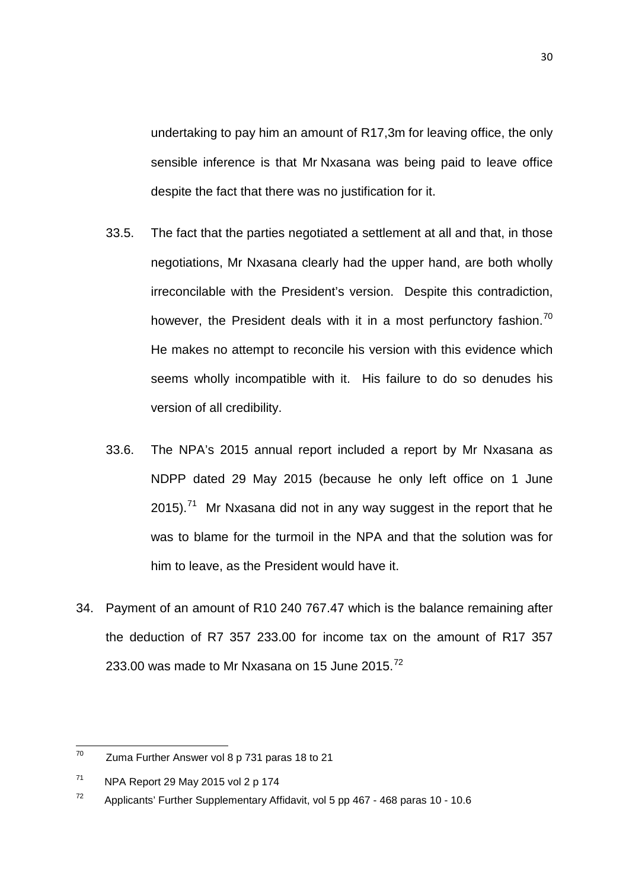undertaking to pay him an amount of R17,3m for leaving office, the only sensible inference is that Mr Nxasana was being paid to leave office despite the fact that there was no justification for it.

- 33.5. The fact that the parties negotiated a settlement at all and that, in those negotiations, Mr Nxasana clearly had the upper hand, are both wholly irreconcilable with the President's version. Despite this contradiction, however, the President deals with it in a most perfunctory fashion.<sup>[70](#page-29-0)</sup> He makes no attempt to reconcile his version with this evidence which seems wholly incompatible with it. His failure to do so denudes his version of all credibility.
- 33.6. The NPA's 2015 annual report included a report by Mr Nxasana as NDPP dated 29 May 2015 (because he only left office on 1 June 2015).<sup>[71](#page-29-1)</sup> Mr Nxasana did not in any way suggest in the report that he was to blame for the turmoil in the NPA and that the solution was for him to leave, as the President would have it.
- 34. Payment of an amount of R10 240 767.47 which is the balance remaining after the deduction of R7 357 233.00 for income tax on the amount of R17 357 233.00 was made to Mr Nxasana on 15 June 2015. $^{72}$  $^{72}$  $^{72}$

<span id="page-29-0"></span>Zuma Further Answer vol 8 p 731 paras 18 to 21 70

<span id="page-29-1"></span> $71$  NPA Report 29 May 2015 vol 2 p 174

<span id="page-29-2"></span> $72$  Applicants' Further Supplementary Affidavit, vol 5 pp 467 - 468 paras 10 - 10.6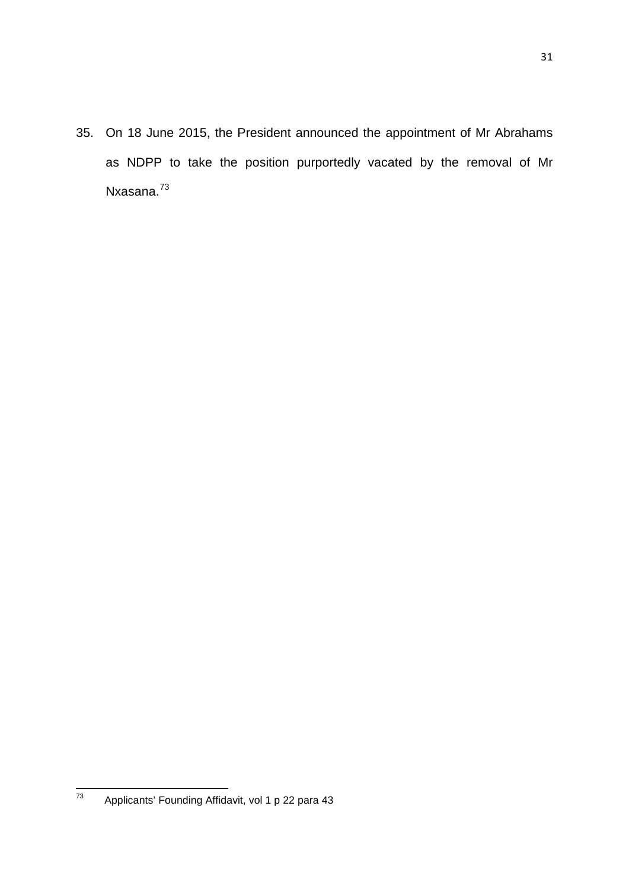35. On 18 June 2015, the President announced the appointment of Mr Abrahams as NDPP to take the position purportedly vacated by the removal of Mr Nxasana.<sup>[73](#page-30-0)</sup>

<span id="page-30-0"></span>Applicants' Founding Affidavit, vol 1 p 22 para 43  $\frac{1}{73}$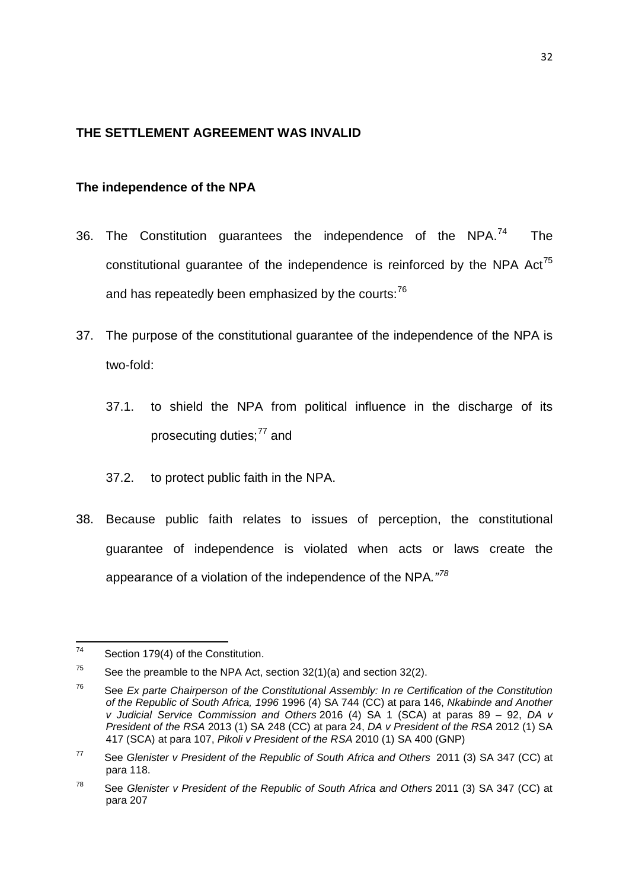# <span id="page-31-0"></span>**THE SETTLEMENT AGREEMENT WAS INVALID**

# <span id="page-31-1"></span>**The independence of the NPA**

- 36. The Constitution guarantees the independence of the NPA. $^{74}$  $^{74}$  $^{74}$  The constitutional guarantee of the independence is reinforced by the NPA  $Act^{75}$  $Act^{75}$  $Act^{75}$ and has repeatedly been emphasized by the courts:<sup>[76](#page-31-4)</sup>
- 37. The purpose of the constitutional guarantee of the independence of the NPA is two-fold:
	- 37.1. to shield the NPA from political influence in the discharge of its prosecuting duties:<sup>[77](#page-31-5)</sup> and
	- 37.2. to protect public faith in the NPA.
- 38. Because public faith relates to issues of perception, the constitutional guarantee of independence is violated when acts or laws create the appearance of a violation of the independence of the NPA*."[78](#page-31-6)*

<span id="page-31-2"></span>Section 179(4) of the Constitution. 74

<span id="page-31-3"></span> $75$  See the preamble to the NPA Act, section 32(1)(a) and section 32(2).

<span id="page-31-4"></span><sup>76</sup> See *Ex parte Chairperson of the Constitutional Assembly: In re Certification of the Constitution of the Republic of South Africa, 1996* 1996 (4) SA 744 (CC) at para 146, *Nkabinde and Another v Judicial Service Commission and Others* 2016 (4) SA 1 (SCA) at paras 89 – 92, *DA v President of the RSA* 2013 (1) SA 248 (CC) at para 24, *DA v President of the RSA* 2012 (1) SA 417 (SCA) at para 107, *Pikoli v President of the RSA* 2010 (1) SA 400 (GNP)

<span id="page-31-5"></span><sup>77</sup> See *Glenister v President of the Republic of South Africa and Others* 2011 (3) SA 347 (CC) at para 118.

<span id="page-31-6"></span><sup>78</sup> See *Glenister v President of the Republic of South Africa and Others* 2011 (3) SA 347 (CC) at para 207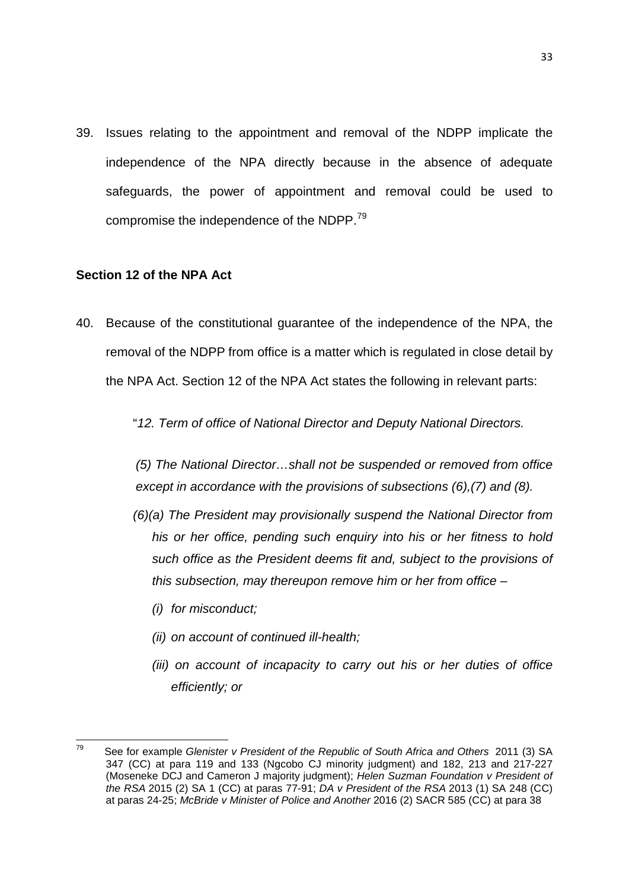39. Issues relating to the appointment and removal of the NDPP implicate the independence of the NPA directly because in the absence of adequate safeguards, the power of appointment and removal could be used to compromise the independence of the NDPP.<sup>[79](#page-32-1)</sup>

#### <span id="page-32-0"></span>**Section 12 of the NPA Act**

40. Because of the constitutional guarantee of the independence of the NPA, the removal of the NDPP from office is a matter which is regulated in close detail by the NPA Act. Section 12 of the NPA Act states the following in relevant parts:

"*12. Term of office of National Director and Deputy National Directors.*

*(5) The National Director…shall not be suspended or removed from office except in accordance with the provisions of subsections (6),(7) and (8).*

- *(6)(a) The President may provisionally suspend the National Director from his or her office, pending such enquiry into his or her fitness to hold such office as the President deems fit and, subject to the provisions of this subsection, may thereupon remove him or her from office –*
	- *(i) for misconduct;*
	- *(ii) on account of continued ill-health;*
	- *(iii) on account of incapacity to carry out his or her duties of office efficiently; or*

<span id="page-32-1"></span><sup>79</sup> See for example *Glenister v President of the Republic of South Africa and Others* 2011 (3) SA 347 (CC) at para 119 and 133 (Ngcobo CJ minority judgment) and 182, 213 and 217-227 (Moseneke DCJ and Cameron J majority judgment); *Helen Suzman Foundation v President of the RSA* 2015 (2) SA 1 (CC) at paras 77-91; *DA v President of the RSA* 2013 (1) SA 248 (CC) at paras 24-25; *[McBride v Minister of Police and Another](http://www.saflii.org/za/cases/ZACC/2016/30.html)* 2016 (2) SACR 585 (CC) at para 38 79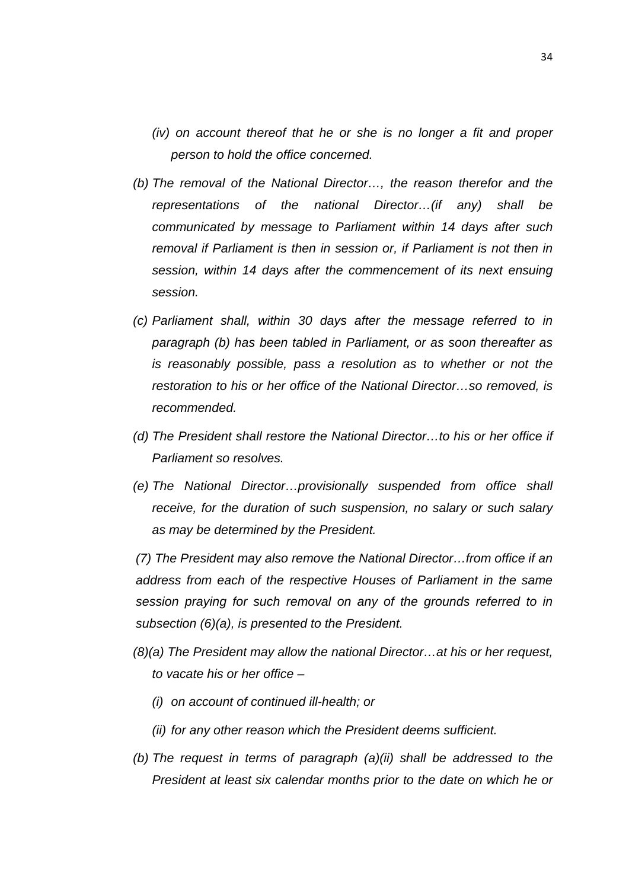- *(iv) on account thereof that he or she is no longer a fit and proper person to hold the office concerned.*
- *(b) The removal of the National Director…, the reason therefor and the representations of the national Director…(if any) shall be communicated by message to Parliament within 14 days after such removal if Parliament is then in session or, if Parliament is not then in session, within 14 days after the commencement of its next ensuing session.*
- *(c) Parliament shall, within 30 days after the message referred to in paragraph (b) has been tabled in Parliament, or as soon thereafter as is reasonably possible, pass a resolution as to whether or not the restoration to his or her office of the National Director…so removed, is recommended.*
- *(d) The President shall restore the National Director…to his or her office if Parliament so resolves.*
- *(e) The National Director…provisionally suspended from office shall receive, for the duration of such suspension, no salary or such salary as may be determined by the President.*

*(7) The President may also remove the National Director…from office if an address from each of the respective Houses of Parliament in the same session praying for such removal on any of the grounds referred to in subsection (6)(a), is presented to the President.*

- *(8)(a) The President may allow the national Director…at his or her request, to vacate his or her office –*
	- *(i) on account of continued ill-health; or*
	- *(ii) for any other reason which the President deems sufficient.*
- *(b) The request in terms of paragraph (a)(ii) shall be addressed to the President at least six calendar months prior to the date on which he or*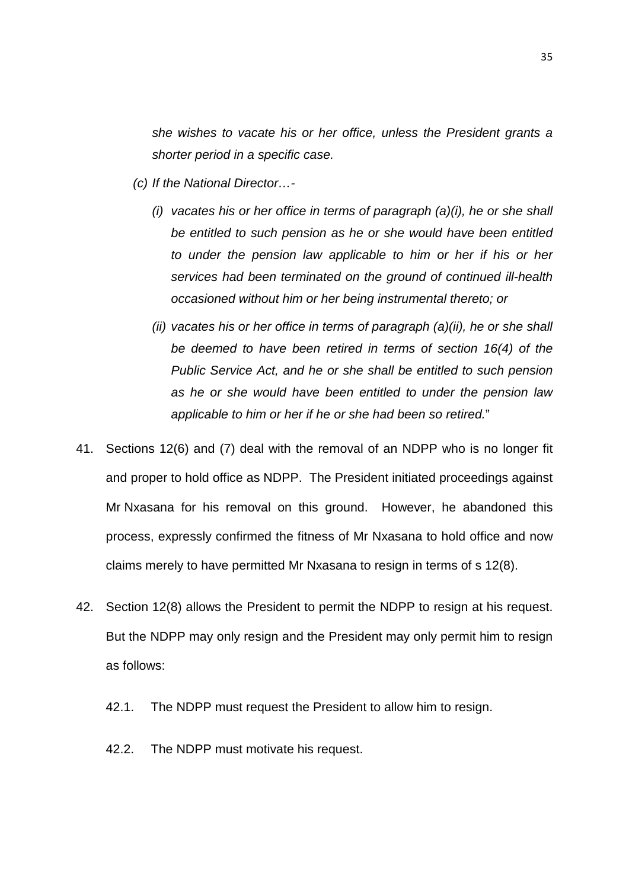*she wishes to vacate his or her office, unless the President grants a shorter period in a specific case.*

- *(c) If the National Director…-*
	- *(i) vacates his or her office in terms of paragraph (a)(i), he or she shall be entitled to such pension as he or she would have been entitled to under the pension law applicable to him or her if his or her services had been terminated on the ground of continued ill-health occasioned without him or her being instrumental thereto; or*
	- *(ii) vacates his or her office in terms of paragraph (a)(ii), he or she shall be deemed to have been retired in terms of section 16(4) of the Public Service Act, and he or she shall be entitled to such pension as he or she would have been entitled to under the pension law applicable to him or her if he or she had been so retired.*"
- 41. Sections 12(6) and (7) deal with the removal of an NDPP who is no longer fit and proper to hold office as NDPP. The President initiated proceedings against Mr Nxasana for his removal on this ground. However, he abandoned this process, expressly confirmed the fitness of Mr Nxasana to hold office and now claims merely to have permitted Mr Nxasana to resign in terms of s 12(8).
- 42. Section 12(8) allows the President to permit the NDPP to resign at his request. But the NDPP may only resign and the President may only permit him to resign as follows:
	- 42.1. The NDPP must request the President to allow him to resign.
	- 42.2. The NDPP must motivate his request.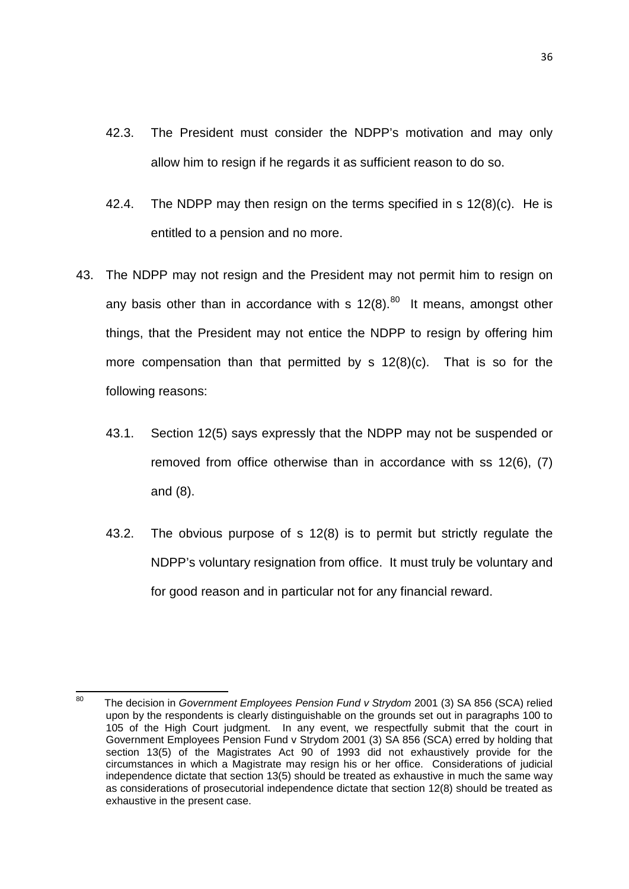- 42.3. The President must consider the NDPP's motivation and may only allow him to resign if he regards it as sufficient reason to do so.
- 42.4. The NDPP may then resign on the terms specified in s 12(8)(c). He is entitled to a pension and no more.
- 43. The NDPP may not resign and the President may not permit him to resign on any basis other than in accordance with s  $12(8)$ .<sup>80</sup> It means, amongst other things, that the President may not entice the NDPP to resign by offering him more compensation than that permitted by s 12(8)(c). That is so for the following reasons:
	- 43.1. Section 12(5) says expressly that the NDPP may not be suspended or removed from office otherwise than in accordance with ss 12(6), (7) and (8).
	- 43.2. The obvious purpose of s 12(8) is to permit but strictly regulate the NDPP's voluntary resignation from office. It must truly be voluntary and for good reason and in particular not for any financial reward.

<span id="page-35-0"></span><sup>80</sup> The decision in *Government Employees Pension Fund v Strydom* 2001 (3) SA 856 (SCA) relied upon by the respondents is clearly distinguishable on the grounds set out in paragraphs 100 to 105 of the High Court judgment. In any event, we respectfully submit that the court in Government Employees Pension Fund v Strydom 2001 (3) SA 856 (SCA) erred by holding that section 13(5) of the Magistrates Act 90 of 1993 did not exhaustively provide for the circumstances in which a Magistrate may resign his or her office. Considerations of judicial independence dictate that section 13(5) should be treated as exhaustive in much the same way as considerations of prosecutorial independence dictate that section 12(8) should be treated as exhaustive in the present case.  $80$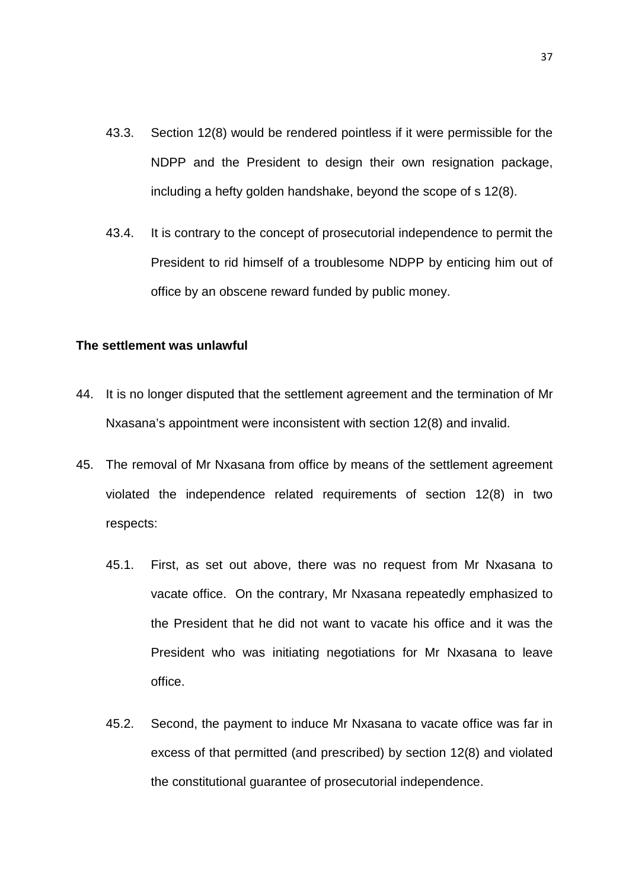- 43.3. Section 12(8) would be rendered pointless if it were permissible for the NDPP and the President to design their own resignation package, including a hefty golden handshake, beyond the scope of s 12(8).
- 43.4. It is contrary to the concept of prosecutorial independence to permit the President to rid himself of a troublesome NDPP by enticing him out of office by an obscene reward funded by public money.

#### <span id="page-36-0"></span>**The settlement was unlawful**

- 44. It is no longer disputed that the settlement agreement and the termination of Mr Nxasana's appointment were inconsistent with section 12(8) and invalid.
- 45. The removal of Mr Nxasana from office by means of the settlement agreement violated the independence related requirements of section 12(8) in two respects:
	- 45.1. First, as set out above, there was no request from Mr Nxasana to vacate office. On the contrary, Mr Nxasana repeatedly emphasized to the President that he did not want to vacate his office and it was the President who was initiating negotiations for Mr Nxasana to leave office.
	- 45.2. Second, the payment to induce Mr Nxasana to vacate office was far in excess of that permitted (and prescribed) by section 12(8) and violated the constitutional guarantee of prosecutorial independence.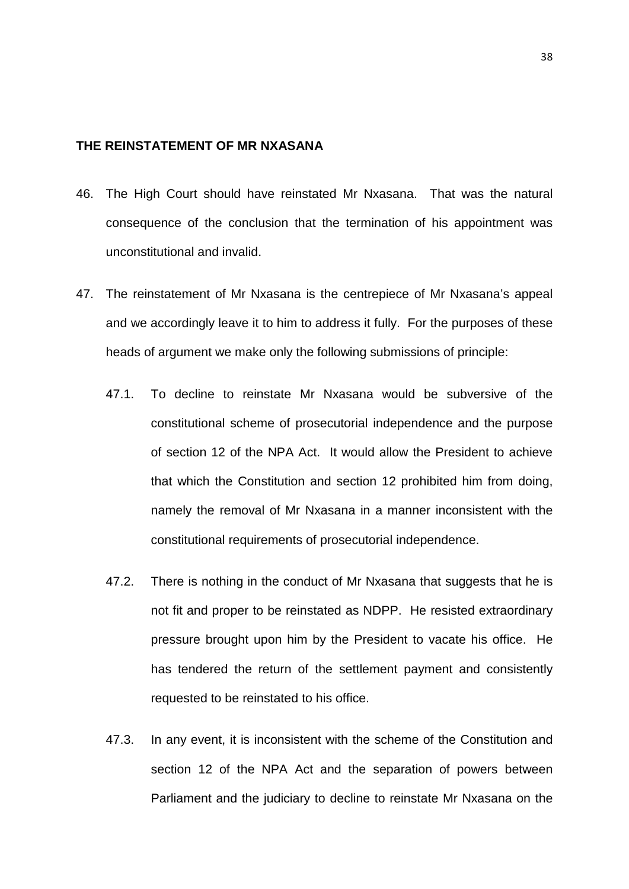# <span id="page-37-0"></span>**THE REINSTATEMENT OF MR NXASANA**

- 46. The High Court should have reinstated Mr Nxasana. That was the natural consequence of the conclusion that the termination of his appointment was unconstitutional and invalid.
- 47. The reinstatement of Mr Nxasana is the centrepiece of Mr Nxasana's appeal and we accordingly leave it to him to address it fully. For the purposes of these heads of argument we make only the following submissions of principle:
	- 47.1. To decline to reinstate Mr Nxasana would be subversive of the constitutional scheme of prosecutorial independence and the purpose of section 12 of the NPA Act. It would allow the President to achieve that which the Constitution and section 12 prohibited him from doing, namely the removal of Mr Nxasana in a manner inconsistent with the constitutional requirements of prosecutorial independence.
	- 47.2. There is nothing in the conduct of Mr Nxasana that suggests that he is not fit and proper to be reinstated as NDPP. He resisted extraordinary pressure brought upon him by the President to vacate his office. He has tendered the return of the settlement payment and consistently requested to be reinstated to his office.
	- 47.3. In any event, it is inconsistent with the scheme of the Constitution and section 12 of the NPA Act and the separation of powers between Parliament and the judiciary to decline to reinstate Mr Nxasana on the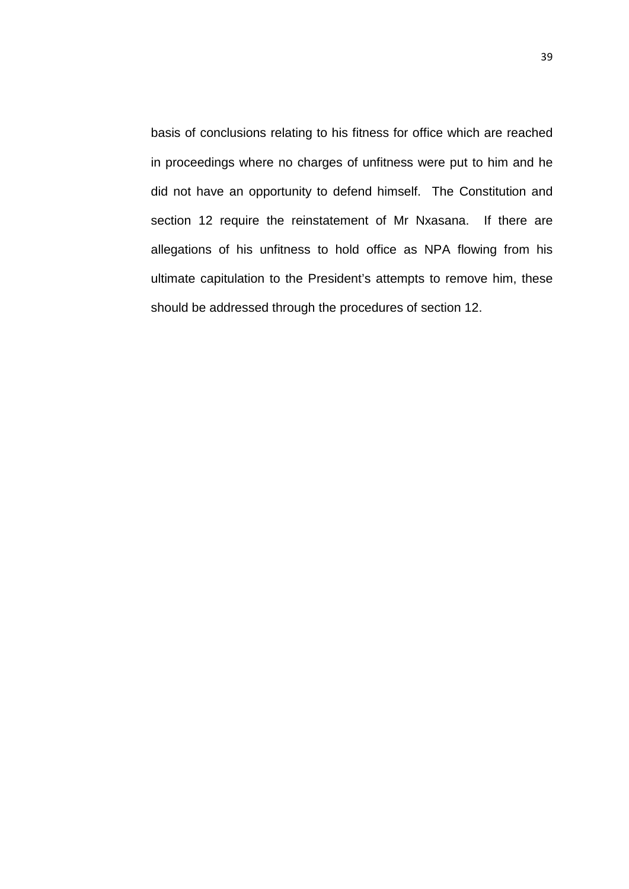basis of conclusions relating to his fitness for office which are reached in proceedings where no charges of unfitness were put to him and he did not have an opportunity to defend himself. The Constitution and section 12 require the reinstatement of Mr Nxasana. If there are allegations of his unfitness to hold office as NPA flowing from his ultimate capitulation to the President's attempts to remove him, these should be addressed through the procedures of section 12.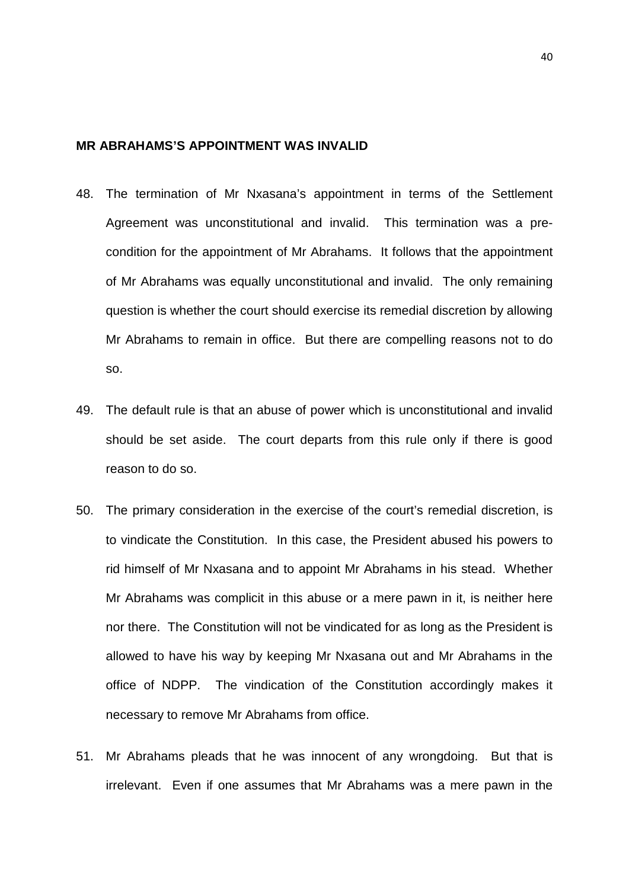#### <span id="page-39-0"></span>**MR ABRAHAMS'S APPOINTMENT WAS INVALID**

- 48. The termination of Mr Nxasana's appointment in terms of the Settlement Agreement was unconstitutional and invalid. This termination was a precondition for the appointment of Mr Abrahams. It follows that the appointment of Mr Abrahams was equally unconstitutional and invalid. The only remaining question is whether the court should exercise its remedial discretion by allowing Mr Abrahams to remain in office. But there are compelling reasons not to do so.
- 49. The default rule is that an abuse of power which is unconstitutional and invalid should be set aside. The court departs from this rule only if there is good reason to do so.
- 50. The primary consideration in the exercise of the court's remedial discretion, is to vindicate the Constitution. In this case, the President abused his powers to rid himself of Mr Nxasana and to appoint Mr Abrahams in his stead. Whether Mr Abrahams was complicit in this abuse or a mere pawn in it, is neither here nor there. The Constitution will not be vindicated for as long as the President is allowed to have his way by keeping Mr Nxasana out and Mr Abrahams in the office of NDPP. The vindication of the Constitution accordingly makes it necessary to remove Mr Abrahams from office.
- 51. Mr Abrahams pleads that he was innocent of any wrongdoing. But that is irrelevant. Even if one assumes that Mr Abrahams was a mere pawn in the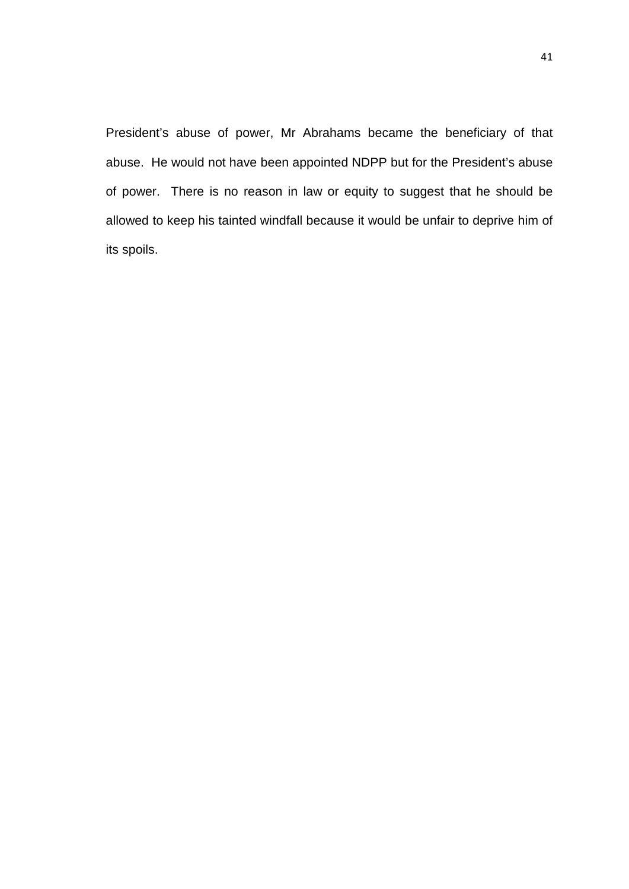President's abuse of power, Mr Abrahams became the beneficiary of that abuse. He would not have been appointed NDPP but for the President's abuse of power. There is no reason in law or equity to suggest that he should be allowed to keep his tainted windfall because it would be unfair to deprive him of its spoils.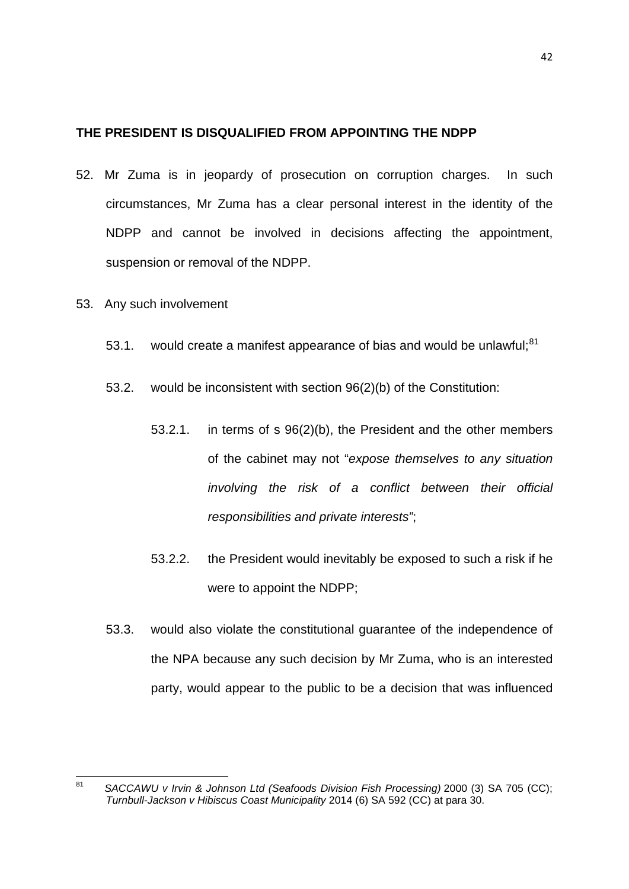#### <span id="page-41-0"></span>**THE PRESIDENT IS DISQUALIFIED FROM APPOINTING THE NDPP**

- 52. Mr Zuma is in jeopardy of prosecution on corruption charges. In such circumstances, Mr Zuma has a clear personal interest in the identity of the NDPP and cannot be involved in decisions affecting the appointment, suspension or removal of the NDPP.
- 53. Any such involvement
	- 53.1. would create a manifest appearance of bias and would be unlawful;<sup>[81](#page-41-1)</sup>
	- 53.2. would be inconsistent with section 96(2)(b) of the Constitution:
		- 53.2.1. in terms of s 96(2)(b), the President and the other members of the cabinet may not "*expose themselves to any situation involving the risk of a conflict between their official responsibilities and private interests"*;
		- 53.2.2. the President would inevitably be exposed to such a risk if he were to appoint the NDPP;
	- 53.3. would also violate the constitutional guarantee of the independence of the NPA because any such decision by Mr Zuma, who is an interested party, would appear to the public to be a decision that was influenced

<span id="page-41-1"></span><sup>81</sup> *SACCAWU v Irvin & Johnson Ltd (Seafoods Division Fish Processing)* 2000 (3) SA 705 (CC); *Turnbull-Jackson v Hibiscus Coast Municipality* 2014 (6) SA 592 (CC) at para 30. 81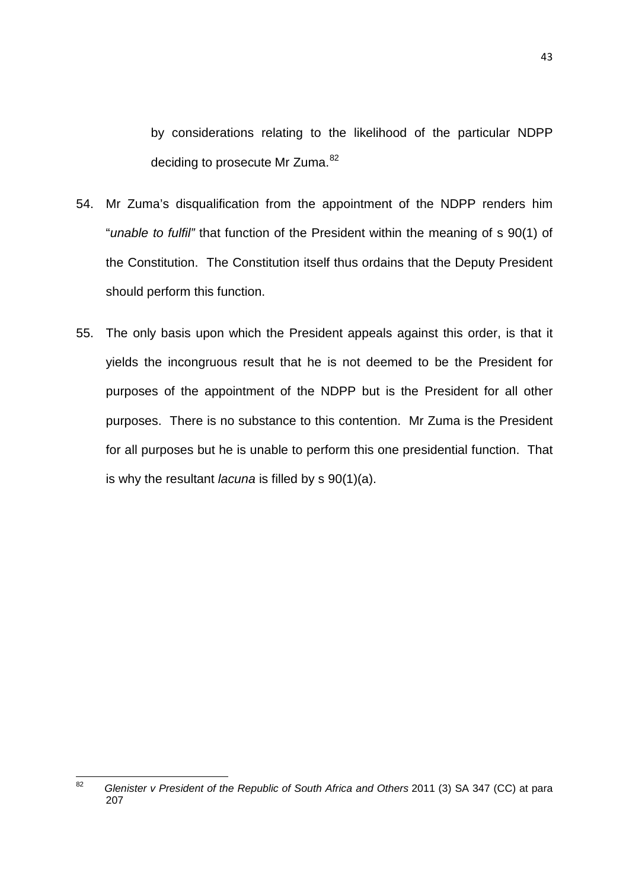by considerations relating to the likelihood of the particular NDPP deciding to prosecute Mr Zuma.<sup>[82](#page-42-0)</sup>

- 54. Mr Zuma's disqualification from the appointment of the NDPP renders him "*unable to fulfil"* that function of the President within the meaning of s 90(1) of the Constitution. The Constitution itself thus ordains that the Deputy President should perform this function.
- 55. The only basis upon which the President appeals against this order, is that it yields the incongruous result that he is not deemed to be the President for purposes of the appointment of the NDPP but is the President for all other purposes. There is no substance to this contention. Mr Zuma is the President for all purposes but he is unable to perform this one presidential function. That is why the resultant *lacuna* is filled by s 90(1)(a).

<span id="page-42-0"></span><sup>82</sup> *Glenister v President of the Republic of South Africa and Others* 2011 (3) SA 347 (CC) at para 207 82